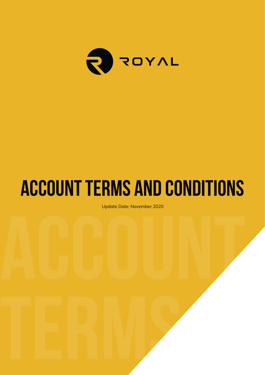

# **Account Terms and Conditions**

Update Date: November 2020<br>**Account 2020**<br><u>Account 2020</u><br>
Account 2020<br>
Account 2020<br>
Account 2020<br>
Account 2020<br>
Account 2020<br>
Account 2020<br>
Account 2020<br>
Account 2020<br>
Account 2020<br>
Account 2020<br>
Account 2020<br>
Account 20 Update Date: November 2020

**Terms and** 

**Conditions** in the conditions of the conditions of the conditions of the conditions of the conditions of the conditions of the conditions of the conditions of the conditions of the conditions of the conditions of the cond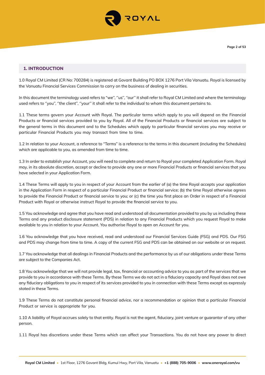

## **1. INTRODUCTION**

1.0 Royal CM Limited (CR No: 700284) is registered at Govant Building PO BOX 1276 Port Vila Vanuatu. Royal is licensed by the Vanuatu Financial Services Commission to carry on the business of dealing in securities.

In this document the terminology used refers to "we", "us", "our" it shall refer to Royal CM Limited and where the terminology used refers to ''you'', ''the client'', ''your'' it shall refer to the individual to whom this document pertains to.

1.1 These terms govern your Account with Royal. The particular terms which apply to you will depend on the Financial Products or financial services provided to you by Royal. All of the Financial Products or financial services are subject to the general terms in this document and to the Schedules which apply to particular financial services you may receive or particular Financial Products you may transact from time to time.

1.2 In relation to your Account, a reference to "Terms" is a reference to the terms in this document (including the Schedules) which are applicable to you, as amended from time to time.

1.3 In order to establish your Account, you will need to complete and return to Royal your completed Application Form. Royal may, in its absolute discretion, accept or decline to provide any one or more Financial Products or financial services that you have selected in your Application Form.

1.4 These Terms will apply to you in respect of your Account from the earlier of (a) the time Royal accepts your application in the Application Form in respect of a particular Financial Product or financial service; (b) the time Royal otherwise agrees to provide the Financial Product or financial service to you; or (c) the time you first place an Order in respect of a Financial Product with Royal or otherwise instruct Royal to provide the financial service to you.

1.5 You acknowledge and agree that you have read and understood all documentation provided to you by us including these Terms and any product disclosure statement (PDS) in relation to any Financial Products which you request Royal to make available to you in relation to your Account. You authorise Royal to open an Account for you.

1.6 You acknowledge that you have received, read and understood our Financial Services Guide (FSG) and PDS. Our FSG and PDS may change from time to time. A copy of the current FSG and PDS can be obtained on our website or on request.

1.7 You acknowledge that all dealings in Financial Products and the performance by us of our obligations under these Terms are subject to the Companies Act.

1.8 You acknowledge that we will not provide legal, tax, financial or accounting advice to you as part of the services that we provide to you in accordance with these Terms. By these Terms we do not act in a fiduciary capacity and Royal does not owe any fiduciary obligations to you in respect of its services provided to you in connection with these Terms except as expressly stated in these Terms.

1.9 These Terms do not constitute personal financial advice, nor a recommendation or opinion that a particular Financial Product or service is appropriate for you.

1.10 A liability of Royal accrues solely to that entity. Royal is not the agent, fiduciary, joint venture or guarantor of any other person.

1.11 Royal has discretions under these Terms which can affect your Transactions. You do not have any power to direct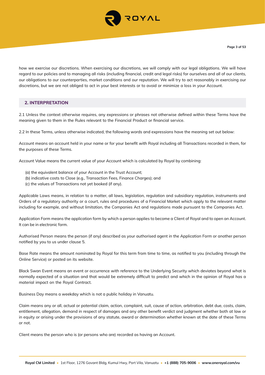

how we exercise our discretions. When exercising our discretions, we will comply with our legal obligations. We will have regard to our policies and to managing all risks (including financial, credit and legal risks) for ourselves and all of our clients, our obligations to our counterparties, market conditions and our reputation. We will try to act reasonably in exercising our discretions, but we are not obliged to act in your best interests or to avoid or minimize a loss in your Account.

## **2. INTERPRETATION**

2.1 Unless the context otherwise requires, any expressions or phrases not otherwise defined within these Terms have the meaning given to them in the Rules relevant to the Financial Product or financial service.

2.2 In these Terms, unless otherwise indicated, the following words and expressions have the meaning set out below:

Account means an account held in your name or for your benefit with Royal including all Transactions recorded in them, for the purposes of these Terms.

Account Value means the current value of your Account which is calculated by Royal by combining:

- (a) the equivalent balance of your Account in the Trust Account;
- (b) indicative costs to Close (e.g., Transaction Fees, Finance Charges); and
- (c) the values of Transactions not yet booked (if any).

Applicable Laws means, in relation to a matter, all laws, legislation, regulation and subsidiary regulation, instruments and Orders of a regulatory authority or a court, rules and procedures of a Financial Market which apply to the relevant matter including for example, and without limitation, the Companies Act and regulations made pursuant to the Companies Act.

Application Form means the application form by which a person applies to become a Client of Royal and to open an Account. It can be in electronic form.

Authorised Person means the person (if any) described as your authorised agent in the Application Form or another person notified by you to us under clause 5.

Base Rate means the amount nominated by Royal for this term from time to time, as notified to you (including through the Online Service) or posted on its website.

Black Swan Event means an event or occurrence with reference to the Underlying Security which deviates beyond what is normally expected of a situation and that would be extremely difficult to predict and which in the opinion of Royal has a material impact on the Royal Contract.

Business Day means a weekday which is not a public holiday in Vanuatu.

Claim means any or all, actual or potential claim, action, complaint, suit, cause of action, arbitration, debt due, costs, claim, entitlement, allegation, demand in respect of damages and any other benefit verdict and judgment whether both at law or in equity or arising under the provisions of any statute, award or determination whether known at the date of these Terms or not.

Client means the person who is (or persons who are) recorded as having an Account.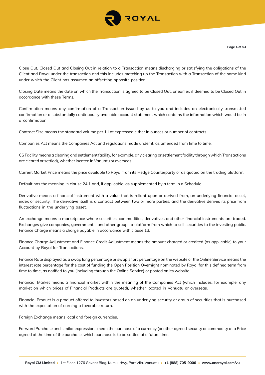

Close Out, Closed Out and Closing Out in relation to a Transaction means discharging or satisfying the obligations of the Client and Royal under the transaction and this includes matching up the Transaction with a Transaction of the same kind under which the Client has assumed an offsetting opposite position.

Closing Date means the date on which the Transaction is agreed to be Closed Out, or earlier, if deemed to be Closed Out in accordance with these Terms.

Confirmation means any confirmation of a Transaction issued by us to you and includes an electronically transmitted confirmation or a substantially continuously available account statement which contains the information which would be in a confirmation.

Contract Size means the standard volume per 1 Lot expressed either in ounces or number of contracts.

Companies Act means the Companies Act and regulations made under it, as amended from time to time.

CS Facility means a clearing and settlement facility, for example, any clearing or settlement facility through which Transactions are cleared or settled), whether located in Vanuatu or overseas.

Current Market Price means the price available to Royal from its Hedge Counterparty or as quoted on the trading platform.

Default has the meaning in clause 24.1 and, if applicable, as supplemented by a term in a Schedule.

Derivative means a financial instrument with a value that is reliant upon or derived from, an underlying financial asset, index or security. The derivative itself is a contract between two or more parties, and the derivative derives its price from fluctuations in the underlying asset.

An exchange means a marketplace where securities, commodities, derivatives and other financial instruments are traded. Exchanges give companies, governments, and other groups a platform from which to sell securities to the investing public. Finance Charge means a charge payable in accordance with clause 13.

Finance Charge Adjustment and Finance Credit Adjustment means the amount charged or credited (as applicable) to your Account by Royal for Transactions.

Finance Rate displayed as a swap long percentage or swap short percentage on the website or the Online Service means the interest rate percentage for the cost of funding the Open Position Overnight nominated by Royal for this defined term from time to time, as notified to you (including through the Online Service) or posted on its website.

Financial Market means a financial market within the meaning of the Companies Act (which includes, for example, any market on which prices of Financial Products are quoted), whether located in Vanuatu or overseas.

Financial Product is a product offered to investors based on an underlying security or group of securities that is purchased with the expectation of earning a favorable return.

Foreign Exchange means local and foreign currencies.

Forward Purchase and similar expressions mean the purchase of a currency (or other agreed security or commodity at a Price agreed at the time of the purchase, which purchase is to be settled at a future time.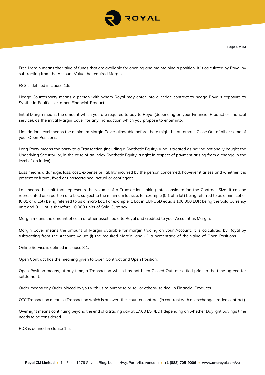

Free Margin means the value of funds that are available for opening and maintaining a position. It is calculated by Royal by subtracting from the Account Value the required Margin.

FSG is defined in clause 1.6.

Hedge Counterparty means a person with whom Royal may enter into a hedge contract to hedge Royal's exposure to Synthetic Equities or other Financial Products.

Initial Margin means the amount which you are required to pay to Royal (depending on your Financial Product or financial service), as the initial Margin Cover for any Transaction which you propose to enter into.

Liquidation Level means the minimum Margin Cover allowable before there might be automatic Close Out of all or some of your Open Positions.

Long Party means the party to a Transaction (including a Synthetic Equity) who is treated as having notionally bought the Underlying Security (or, in the case of an index Synthetic Equity, a right in respect of payment arising from a change in the level of an index).

Loss means a damage, loss, cost, expense or liability incurred by the person concerned, however it arises and whether it is present or future, fixed or unascertained, actual or contingent.

Lot means the unit that represents the volume of a Transaction, taking into consideration the Contract Size. It can be represented as a portion of a Lot, subject to the minimum lot size, for example (0.1 of a lot) being referred to as a mini Lot or (0.01 of a Lot) being referred to as a micro Lot. For example, 1 Lot in EURUSD equals 100,000 EUR being the Sold Currency unit and 0.1 Lot is therefore 10,000 units of Sold Currency.

Margin means the amount of cash or other assets paid to Royal and credited to your Account as Margin.

Margin Cover means the amount of Margin available for margin trading on your Account. It is calculated by Royal by subtracting from the Account Value: (i) the required Margin; and (ii) a percentage of the value of Open Positions.

Online Service is defined in clause 8.1.

Open Contract has the meaning given to Open Contract and Open Position.

Open Position means, at any time, a Transaction which has not been Closed Out, or settled prior to the time agreed for settlement.

Order means any Order placed by you with us to purchase or sell or otherwise deal in Financial Products.

OTC Transaction means a Transaction which is an over- the-counter contract (in contrast with an exchange-traded contract).

Overnight means continuing beyond the end of a trading day at 17:00 EST/EDT depending on whether Daylight Savings time needs to be considered

PDS is defined in clause 1.5.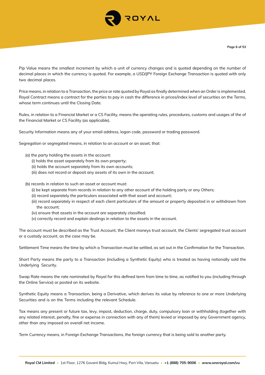

Pip Value means the smallest increment by which a unit of currency changes and is quoted depending on the number of decimal places in which the currency is quoted. For example, a USD/JPY Foreign Exchange Transaction is quoted with only two decimal places.

Price means, in relation to a Transaction, the price or rate quoted by Royal as finally determined when an Order is implemented. Royal Contract means a contract for the parties to pay in cash the difference in prices/index level of securities on the Terms, whose term continues until the Closing Date.

Rules, in relation to a Financial Market or a CS Facility, means the operating rules, procedures, customs and usages of the of the Financial Market or CS Facility (as applicable).

Security Information means any of your email address, logon code, password or trading password.

Segregation or segregated means, in relation to an account or an asset, that:

- (a) the party holding the assets in the account:
	- (i) holds the asset separately from its own property;
	- (ii) holds the account separately from its own accounts;
	- (iii) does not record or deposit any assets of its own in the account;
- (b) records in relation to such an asset or account must:
	- (i) be kept separate from records in relation to any other account of the holding party or any Others;
	- (ii) record separately the particulars associated with that asset and account;
	- (iii) record separately in respect of each client particulars of the amount or property deposited in or withdrawn from the account;
	- (iv) ensure that assets in the account are separately classified;
	- (v) correctly record and explain dealings in relation to the assets in the account.

The account must be described as the Trust Account, the Client moneys trust account, the Clients' segregated trust account or a custody account, as the case may be.

Settlement Time means the time by which a Transaction must be settled, as set out in the Confirmation for the Transaction.

Short Party means the party to a Transaction (including a Synthetic Equity) who is treated as having notionally sold the Underlying Security.

Swap Rate means the rate nominated by Royal for this defined term from time to time, as notified to you (including through the Online Service) or posted on its website.

Synthetic Equity means a Transaction, being a Derivative, which derives its value by reference to one or more Underlying Securities and is on the Terms including the relevant Schedule.

Tax means any present or future tax, levy, impost, deduction, charge, duty, compulsory loan or withholding (together with any related interest, penalty, fine or expense in connection with any of them) levied or imposed by any Government agency, other than any imposed on overall net income.

Term Currency means, in Foreign Exchange Transactions, the foreign currency that is being sold to another party.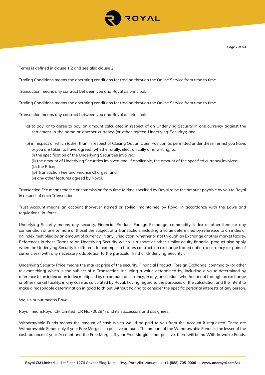

Terms is defined in clause 1.2 and see also clause 2.

Trading Conditions means the operating conditions for trading through the Online Service from time to time.

Transaction means any contract between you and Royal as principal:

Trading Conditions means the operating conditions for trading through the Online Service from time to time.

Transaction means any contract between you and Royal as principal:

- (a) to pay, or to agree to pay, an amount calculated in respect of an Underlying Security in one currency against the settlement in the same or another currency (or other agreed Underlying Security); and
- (b) in respect of which (other than in respect of Closing Out an Open Position as permitted under these Terms) you have, or you are taken to have, agreed (whether orally, electronically or in writing) to:
	- (i) the specification of the Underlying Securities involved;
	- (ii) the amount of Underlying Securities involved and, if applicable, the amount of the specified currency involved; (iii) the Price;
	-
	- (iv) Transaction Fee and Finance Charges; and
	- (v) any other features agreed by Royal.

Transaction Fee means the fee or commission from time to time specified by Royal to be the amount payable by you to Royal in respect of each Transaction.

Trust Account means an account (however named or styled) maintained by Royal in accordance with the Laws and regulations in force.

Underlying Security means any security, Financial Product, Foreign Exchange, commodity, index or other item (or any combination of one or more of those) the subject of a Transaction, including a value determined by reference to an index or an index multiplied by an amount of currency, in any jurisdiction, whether or not through an Exchange or other market facility. References in these Terms to an Underlying Security which is a share or other similar equity financial product also apply when the Underlying Security is different, for example, a futures contract, an exchange traded option, a currency (or pairs of currencies) (with any necessary adaptation to the particular kind of Underlying Security).

Underlying Security Price means the market price of the security, Financial Product, Foreign Exchange, commodity (or other relevant thing) which is the subject of a Transaction, including a value determined by, including a value determined by reference to an index or an index multiplied by an amount of currency, in any jurisdiction, whether or not through an exchange or other market facility, in any case as calculated by Royal, having regard to the purposes of the calculation and the intent to make a reasonable determination in good faith but without having to consider the specific personal interests of any person.

We, us or our means Royal.

Royal meansRoyal CM Limited (CR No:700284) and its successors and assignees.

Withdrawable Funds means the amount of cash which would be paid to you from the Account if requested. There are Withdrawable Funds only if your Free Margin is a positive amount. The amount of the Withdrawable Funds is the lesser of the cash balance of your Account and the Free Margin. If your Free Margin is not positive, there will be no Withdrawable Funds.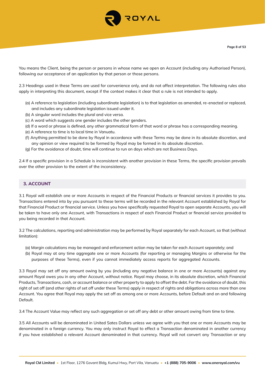

You means the Client, being the person or persons in whose name we open an Account (including any Authorised Person), following our acceptance of an application by that person or those persons.

2.3 Headings used in these Terms are used for convenience only, and do not affect interpretation. The following rules also apply in interpreting this document, except if the context makes it clear that a rule is not intended to apply.

- (a) A reference to legislation (including subordinate legislation) is to that legislation as amended, re-enacted or replaced, and includes any subordinate legislation issued under it.
- (b) A singular word includes the plural and vice versa.
- (c) A word which suggests one gender includes the other genders.
- (d) If a word or phrase is defined, any other grammatical form of that word or phrase has a corresponding meaning.
- (e) A reference to time is to local time in Vanuatu.
- (f) Anything permitted to be done by Royal in accordance with these Terms may be done in its absolute discretion, and any opinion or view required to be formed by Royal may be formed in its absolute discretion.
- (g) For the avoidance of doubt, time will continue to run on days which are not Business Days.

2.4 If a specific provision in a Schedule is inconsistent with another provision in these Terms, the specific provision prevails over the other provision to the extent of the inconsistency.

## **3. ACCOUNT**

3.1 Royal will establish one or more Accounts in respect of the Financial Products or financial services it provides to you. Transactions entered into by you pursuant to these terms will be recorded in the relevant Account established by Royal for that Financial Product or financial service. Unless you have specifically requested Royal to open separate Accounts, you will be taken to have only one Account, with Transactions in respect of each Financial Product or financial service provided to you being recorded in that Account.

3.2 The calculations, reporting and administration may be performed by Royal separately for each Account, so that (without limitation):

- (a) Margin calculations may be managed and enforcement action may be taken for each Account separately; and
- (b) Royal may at any time aggregate one or more Accounts (for reporting or managing Margins or otherwise for the purposes of these Terms), even if you cannot immediately access reports for aggregated Accounts.

3.3 Royal may set off any amount owing by you (including any negative balance in one or more Accounts) against any amount Royal owes you in any other Account, without notice. Royal may choose, in its absolute discretion, which Financial Products, Transactions, cash, or account balance or other property to apply to offset the debt. For the avoidance of doubt, this right of set off (and other rights of set off under these Terms) apply in respect of rights and obligations across more than one Account. You agree that Royal may apply the set off as among one or more Accounts, before Default and on and following Default.

3.4 The Account Value may reflect any such aggregation or set off any debt or other amount owing from time to time.

3.5 All Accounts will be denominated in United Sates Dollars unless we agree with you that one or more Accounts may be denominated in a foreign currency. You may only instruct Royal to effect a Transaction denominated in another currency if you have established a relevant Account denominated in that currency. Royal will not convert any Transaction or any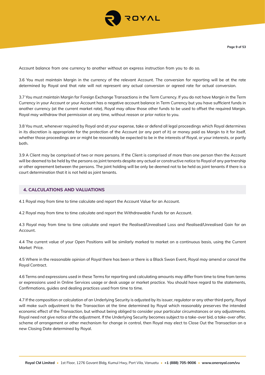

Account balance from one currency to another without an express instruction from you to do so.

3.6 You must maintain Margin in the currency of the relevant Account. The conversion for reporting will be at the rate determined by Royal and that rate will not represent any actual conversion or agreed rate for actual conversion.

3.7 You must maintain Margin for Foreign Exchange Transactions in the Term Currency. If you do not have Margin in the Term Currency in your Account or your Account has a negative account balance in Term Currency but you have sufficient funds in another currency (at the current market rate), Royal may allow those other funds to be used to offset the required Margin. Royal may withdraw that permission at any time, without reason or prior notice to you.

3.8 You must, whenever required by Royal and at your expense, take or defend all legal proceedings which Royal determines in its discretion is appropriate for the protection of the Account (or any part of it) or money paid as Margin to it for itself, whether those proceedings are or might be reasonably be expected to be in the interests of Royal, or your interests, or partly both.

3.9 A Client may be comprised of two or more persons. If the Client is comprised of more than one person then the Account will be deemed to be held by the persons as joint tenants despite any actual or constructive notice to Royal of any partnership or other agreement between the persons. The joint holding will be only be deemed not to be held as joint tenants if there is a court determination that it is not held as joint tenants.

## **4. CALCULATIONS AND VALUATIONS**

4.1 Royal may from time to time calculate and report the Account Value for an Account.

4.2 Royal may from time to time calculate and report the Withdrawable Funds for an Account.

4.3 Royal may from time to time calculate and report the Realised/Unrealised Loss and Realised/Unrealised Gain for an Account.

4.4 The current value of your Open Positions will be similarly marked to market on a continuous basis, using the Current Market Price.

4.5 Where in the reasonable opinion of Royal there has been or there is a Black Swan Event, Royal may amend or cancel the Royal Contract.

4.6 Terms and expressions used in these Terms for reporting and calculating amounts may differ from time to time from terms or expressions used in Online Services usage or desk usage or market practice. You should have regard to the statements, Confirmations, guides and dealing practices used from time to time.

4.7 If the composition or calculation of an Underlying Security is adjusted by its issuer, regulator or any other third party, Royal will make such adjustment to the Transaction at the time determined by Royal which reasonably preserves the intended economic effect of the Transaction, but without being obliged to consider your particular circumstances or any adjustments. Royal need not give notice of the adjustment. If the Underlying Security becomes subject to a take-over bid, a take-over offer, scheme of arrangement or other mechanism for change in control, then Royal may elect to Close Out the Transaction on a new Closing Date determined by Royal.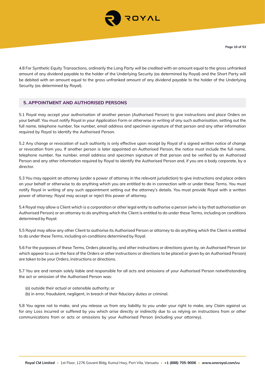

4.8 For Synthetic Equity Transactions, ordinarily the Long Party will be credited with an amount equal to the gross unfranked amount of any dividend payable to the holder of the Underlying Security (as determined by Royal) and the Short Party will be debited with an amount equal to the gross unfranked amount of any dividend payable to the holder of the Underlying Security (as determined by Royal).

## **5. APPOINTMENT AND AUTHORISED PERSONS**

5.1 Royal may accept your authorisation of another person (Authorised Person) to give instructions and place Orders on your behalf. You must notify Royal in your Application Form or otherwise in writing of any such authorisation, setting out the full name, telephone number, fax number, email address and specimen signature of that person and any other information required by Royal to identify the Authorised Person.

5.2 Any change or revocation of such authority is only effective upon receipt by Royal of a signed written notice of change or revocation from you. If another person is later appointed an Authorised Person, the notice must include the full name, telephone number, fax number, email address and specimen signature of that person and be verified by an Authorised Person and any other information required by Royal to identify the Authorised Person and, if you are a body corporate, by a director.

5.3 You may appoint an attorney (under a power of attorney in the relevant jurisdiction) to give instructions and place orders on your behalf or otherwise to do anything which you are entitled to do in connection with or under these Terms. You must notify Royal in writing of any such appointment setting out the attorney's details. You must provide Royal with a written power of attorney; Royal may accept or reject this power of attorney.

5.4 Royal may allow a Client which is a corporation or other legal entity to authorise a person (who is by that authorisation an Authorised Person) or an attorney to do anything which the Client is entitled to do under these Terms, including on conditions determined by Royal.

5.5 Royal may allow any other Client to authorise its Authorised Person or attorney to do anything which the Client is entitled to do under these Terms, including on conditions determined by Royal.

5.6 For the purposes of these Terms, Orders placed by, and other instructions or directions given by, an Authorised Person (or which appear to us on the face of the Orders or other instructions or directions to be placed or given by an Authorised Person) are taken to be your Orders, instructions or directions.

5.7 You are and remain solely liable and responsible for all acts and omissions of your Authorised Person notwithstanding the act or omission of the Authorised Person was:

- (a) outside their actual or ostensible authority; or
- (b) in error, fraudulent, negligent, in breach of their fiduciary duties or criminal.

5.8 You agree not to make, and you release us from any liability to you under your right to make, any Claim against us for any Loss incurred or suffered by you which arise directly or indirectly due to us relying on instructions from or other communications from or acts or omissions by your Authorised Person (including your attorney).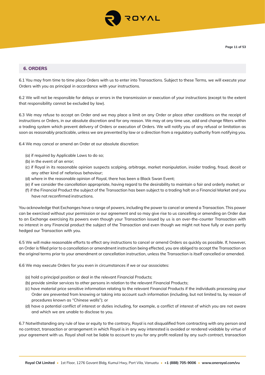

## **6. ORDERS**

6.1 You may from time to time place Orders with us to enter into Transactions. Subject to these Terms, we will execute your Orders with you as principal in accordance with your instructions.

6.2 We will not be responsible for delays or errors in the transmission or execution of your instructions (except to the extent that responsibility cannot be excluded by law).

6.3 We may refuse to accept an Order and we may place a limit on any Order or place other conditions on the receipt of instructions or Orders, in our absolute discretion and for any reason. We may at any time use, add and change filters within a trading system which prevent delivery of Orders or execution of Orders. We will notify you of any refusal or limitation as soon as reasonably practicable, unless we are prevented by law or a direction from a regulatory authority from notifying you.

6.4 We may cancel or amend an Order at our absolute discretion:

- (a) if required by Applicable Laws to do so;
- (b) in the event of an error;
- (c) if Royal in its reasonable opinion suspects scalping, arbitrage, market manipulation, insider trading, fraud, deceit or any other kind of nefarious behaviour;
- (d) where in the reasonable opinion of Royal, there has been a Black Swan Event;
- (e) if we consider the cancellation appropriate, having regard to the desirability to maintain a fair and orderly market; or
- (f) if the Financial Product the subject of the Transaction has been subject to a trading halt on a Financial Market and you have not reconfirmed instructions.

You acknowledge that Exchanges have a range of powers, including the power to cancel or amend a Transaction. This power can be exercised without your permission or our agreement and so may give rise to us cancelling or amending an Order due to an Exchange exercising its powers even though your Transaction issued by us is an over-the-counter Transaction with no interest in any Financial product the subject of the Transaction and even though we might not have fully or even partly hedged our Transaction with you.

6.5 We will make reasonable efforts to effect any instructions to cancel or amend Orders as quickly as possible. If, however, an Order is filled prior to a cancellation or amendment instruction being effected, you are obliged to accept the Transaction on the original terms prior to your amendment or cancellation instruction, unless the Transaction is itself cancelled or amended.

6.6 We may execute Orders for you even in circumstances if we or our associates:

- (a) hold a principal position or deal in the relevant Financial Products;
- (b) provide similar services to other persons in relation to the relevant Financial Products;
- (c) have material price sensitive information relating to the relevant Financial Products if the individuals processing your Order are prevented from knowing or taking into account such information (including, but not limited to, by reason of procedures known as "Chinese walls"); or
- (d) have a potential conflict of interest or duties including, for example, a conflict of interest of which you are not aware and which we are unable to disclose to you.

6.7 Notwithstanding any rule of law or equity to the contrary, Royal is not disqualified from contracting with any person and no contract, transaction or arrangement in which Royal is in any way interested is avoided or rendered voidable by virtue of your agreement with us. Royal shall not be liable to account to you for any profit realized by any such contract, transaction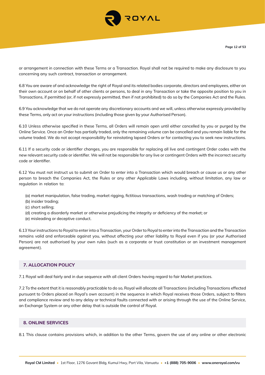

or arrangement in connection with these Terms or a Transaction. Royal shall not be required to make any disclosure to you concerning any such contract, transaction or arrangement.

6.8 You are aware of and acknowledge the right of Royal and its related bodies corporate, directors and employees, either on their own account or on behalf of other clients or persons, to deal in any Transaction or take the opposite position to you in Transactions, if permitted (or, if not expressly permitted, then if not prohibited) to do so by the Companies Act and the Rules.

6.9 You acknowledge that we do not operate any discretionary accounts and we will, unless otherwise expressly provided by these Terms, only act on your instructions (including those given by your Authorised Person).

6.10 Unless otherwise specified in these Terms, all Orders will remain open until either cancelled by you or purged by the Online Service. Once an Order has partially traded, only the remaining volume can be cancelled and you remain liable for the volume traded. We do not accept responsibility for reinstating lapsed Orders or for contacting you to seek new instructions.

6.11 If a security code or identifier changes, you are responsible for replacing all live and contingent Order codes with the new relevant security code or identifier. We will not be responsible for any live or contingent Orders with the incorrect security code or identifier.

6.12 You must not instruct us to submit an Order to enter into a Transaction which would breach or cause us or any other person to breach the Companies Act, the Rules or any other Applicable Laws including, without limitation, any law or regulation in relation to:

- (a) market manipulation, false trading, market rigging, fictitious transactions, wash trading or matching of Orders;
- (b) insider trading;
- (c) short selling;
- (d) creating a disorderly market or otherwise prejudicing the integrity or deficiency of the market; or
- (e) misleading or deceptive conduct.

6.13 Your instructions to Royal to enter into a Transaction, your Order to Royal to enter into the Transaction and the Transaction remains valid and enforceable against you, without affecting your other liability to Royal even if you (or your Authorised Person) are not authorised by your own rules (such as a corporate or trust constitution or an investment management agreement).

# **7. ALLOCATION POLICY**

7.1 Royal will deal fairly and in due sequence with all client Orders having regard to fair Market practices.

7.2 To the extent that it is reasonably practicable to do so, Royal will allocate all Transactions (including Transactions effected pursuant to Orders placed on Royal's own account) in the sequence in which Royal receives those Orders, subject to filters and compliance review and to any delay or technical faults connected with or arising through the use of the Online Service, an Exchange System or any other delay that is outside the control of Royal.

## **8. ONLINE SERVICES**

8.1 This clause contains provisions which, in addition to the other Terms, govern the use of any online or other electronic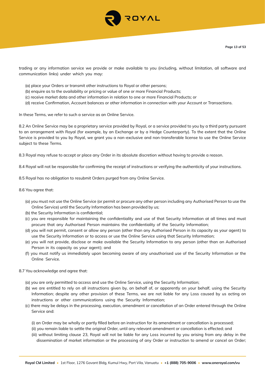

trading or any information service we provide or make available to you (including, without limitation, all software and communication links) under which you may:

- (a) place your Orders or transmit other instructions to Royal or other persons;
- (b) enquire as to the availability or pricing or value of one or more Financial Products;
- (c) receive market data and other information in relation to one or more Financial Products; or
- (d) receive Confirmation, Account balances or other information in connection with your Account or Transactions.

In these Terms, we refer to such a service as an Online Service.

8.2 An Online Service may be a proprietary service provided by Royal, or a service provided to you by a third party pursuant to an arrangement with Royal (for example, by an Exchange or by a Hedge Counterparty). To the extent that the Online Service is provided to you by Royal, we grant you a non-exclusive and non-transferable license to use the Online Service subject to these Terms.

8.3 Royal may refuse to accept or place any Order in its absolute discretion without having to provide a reason.

8.4 Royal will not be responsible for confirming the receipt of instructions or verifying the authenticity of your instructions.

8.5 Royal has no obligation to resubmit Orders purged from any Online Service.

8.6 You agree that:

- (a) you must not use the Online Service (or permit or procure any other person including any Authorised Person to use the Online Service) until the Security Information has been provided by us;
- (b) the Security Information is confidential;
- (c) you are responsible for maintaining the confidentiality and use of that Security Information at all times and must procure that any Authorised Person maintains the confidentiality of the Security Information;
- (d) you will not permit, consent or allow any person (other than any Authorised Person in its capacity as your agent) to use the Security Information or to access or use the Online Service using that Security Information;
- (e) you will not provide, disclose or make available the Security Information to any person (other than an Authorised Person in its capacity as your agent); and
- (f) you must notify us immediately upon becoming aware of any unauthorised use of the Security Information or the Online Service.

8.7 You acknowledge and agree that:

- (a) you are only permitted to access and use the Online Service, using the Security Information;
- (b) we are entitled to rely on all instructions given by, on behalf of, or apparently on your behalf, using the Security Information; despite any other provision of these Terms, we are not liable for any Loss caused by us acting on instructions or other communications using the Security Information;
- (c) there may be delays in the processing, execution, amendment or cancellation of an Order entered through the Online Service and:

(i) an Order may be wholly or partly filled before an instruction for its amendment or cancellation is processed;

- (ii) you remain liable to settle the original Order, until any relevant amendment or cancellation is effected; and
- (iii) without limiting clause 23, Royal will not be liable for any Loss incurred by you arising from any delay in the dissemination of market information or the processing of any Order or instruction to amend or cancel an Order;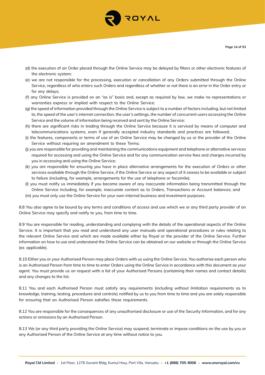

- (d) the execution of an Order placed through the Online Service may be delayed by filters or other electronic features of the electronic system;
- (e) we are not responsible for the processing, execution or cancellation of any Orders submitted through the Online Service, regardless of who enters such Orders and regardless of whether or not there is an error in the Order entry or for any delays;
- (f) any Online Service is provided on an "as is" basis and, except as required by law, we make no representations or warranties express or implied with respect to the Online Service;
- (g) the speed of information provided through the Online Service is subject to a number of factors including, but not limited to, the speed of the user's internet connection, the user's settings, the number of concurrent users accessing the Online Service and the volume of information being received and sent by the Online Service;
- (h) there are significant risks in trading through the Online Service because it is serviced by means of computer and telecommunications systems, even if generally accepted industry standards and practices are followed;
- (i) the features, components or terms of use of an Online Service may be changed by us or the provider of the Online Service without requiring an amendment to these Terms;
- (j) you are responsible for providing and maintaining the communications equipment and telephone or alternative services required for accessing and using the Online Service and for any communication service fees and charges incurred by you in accessing and using the Online Service;
- (k) you are responsible for ensuring you have in place alternative arrangements for the execution of Orders or other services available through the Online Service, if the Online Service or any aspect of it ceases to be available or subject to failure (including, for example, arrangements for the use of telephone or facsimile);
- (l) you must notify us immediately if you become aware of any inaccurate information being transmitted through the Online Service including, for example, inaccurate content as to Orders, Transactions or Account balances; and
- (m) you must only use the Online Service for your own internal business and investment purposes.

8.8 You also agree to be bound by any terms and conditions of access and use which we or any third party provider of an Online Service may specify and notify to you, from time to time.

8.9 You are responsible for reading, understanding and complying with the details of the operational aspects of the Online Service. It is important that you read and understand any user manuals and operational procedures or rules relating to the relevant Online Service and which are made available either by Royal or the provider of the Online Service. Further information on how to use and understand the Online Service can be obtained on our website or through the Online Service (as applicable).

8.10 Either you or your Authorised Person may place Orders with us using the Online Service. You authorise each person who is an Authorised Person from time to time to enter Orders using the Online Service in accordance with this document as your agent. You must provide us on request with a list of your Authorised Persons (containing their names and contact details) and any changes to the list.

8.11 You and each Authorised Person must satisfy any requirements (including without limitation requirements as to knowledge, training, testing, procedures and controls) notified by us to you from time to time and you are solely responsible for ensuring that an Authorised Person satisfies these requirements.

8.12 You are responsible for the consequences of any unauthorised disclosure or use of the Security Information, and for any actions or omissions by an Authorised Person.

8.13 We (or any third party providing the Online Service) may suspend, terminate or impose conditions on the use by you or any Authorised Person of the Online Service at any time without notice to you.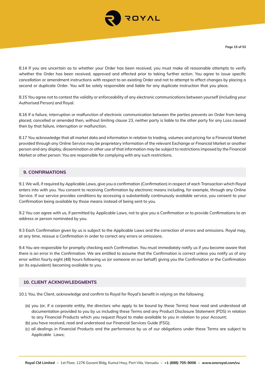

8.14 If you are uncertain as to whether your Order has been received, you must make all reasonable attempts to verify whether the Order has been received, approved and effected prior to taking further action. You agree to issue specific cancellation or amendment instructions with respect to an existing Order and not to attempt to effect changes by placing a second or duplicate Order. You will be solely responsible and liable for any duplicate instruction that you place.

8.15 You agree not to contest the validity or enforceability of any electronic communications between yourself (including your Authorised Person) and Royal.

8.16 If a failure, interruption or malfunction of electronic communication between the parties prevents an Order from being placed, cancelled or amended then, without limiting clause 23, neither party is liable to the other party for any Loss caused then by that failure, interruption or malfunction.

8.17 You acknowledge that all market data and information in relation to trading, volumes and pricing for a Financial Market provided through any Online Service may be proprietary information of the relevant Exchange or Financial Market or another person and any display, dissemination or other use of that information may be subject to restrictions imposed by the Financial Market or other person. You are responsible for complying with any such restrictions.

## **9. CONFIRMATIONS**

9.1 We will, if required by Applicable Laws, give you a confirmation (Confirmation) in respect of each Transaction which Royal enters into with you. You consent to receiving Confirmation by electronic means including, for example, through any Online Service. If our service provides conditions by accessing a substantially continuously available service, you consent to your Confirmation being available by those means instead of being sent to you.

9.2 You can agree with us, if permitted by Applicable Laws, not to give you a Confirmation or to provide Confirmations to an address or person nominated by you.

9.3 Each Confirmation given by us is subject to the Applicable Laws and the correction of errors and omissions. Royal may, at any time, reissue a Confirmation in order to correct any errors or omissions.

9.4 You are responsible for promptly checking each Confirmation. You must immediately notify us if you become aware that there is an error in the Confirmation. We are entitled to assume that the Confirmation is correct unless you notify us of any error within fourty eight (48) hours following us (or someone on our behalf) giving you the Confirmation or the Confirmation (or its equivalent) becoming available to you.

#### **10. CLIENT ACKNOWLEDGMENTS**

10.1 You, the Client, acknowledge and confirm to Royal for Royal's benefit in relying on the following:

- (a) you (or, if a corporate entity, the directors who apply to be bound by these Terms) have read and understood all documentation provided to you by us including these Terms and any Product Disclosure Statement (PDS) in relation to any Financial Products which you request Royal to make available to you in relation to your Account;
- (b) you have received, read and understood our Financial Services Guide (FSG);
- (c) all dealings in Financial Products and the performance by us of our obligations under these Terms are subject to Applicable Laws;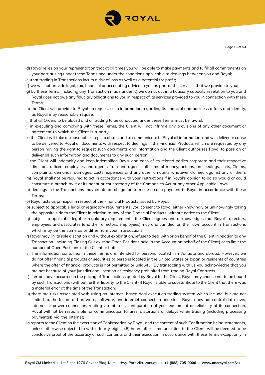

- (d) Royal relies on your representation that at all times you will be able to make payments and fulfill all commitments on your part arising under these Terms and under the conditions applicable to dealings between you and Royal;
- (e )that trading in Transactions incurs a risk of loss as well as a potential for profit;
- (f) we will not provide legal, tax, financial or accounting advice to you as part of the services that we provide to you;
- (g) by these Terms (including any Transaction made under it) we do not act in a fiduciary capacity in relation to you and Royal does not owe any fiduciary obligations to you in respect of its services provided to you in connection with these Terms;
- (h) the Client will provide to Royal on request such information regarding its financial and business affairs and identity, as Royal may reasonably require;
- (i) that all Orders to be placed and all trading to be conducted under these Terms must be lawful;
- (j) in executing and complying with these Terms, the Client will not infringe any provisions of any other document or agreement to which the Client is a party;
- (k) the Client will take all reasonable steps to obtain and to communicate to Royal all information, and will deliver or cause to be delivered to Royal all documents with respect to dealings in the Financial Products which are requested by any person having the right to request such documents and information and the Client authorizes Royal to pass on or deliver all such information and documents to any such person;
- (l) the Client will indemnify and keep indemnified Royal and each of its related bodies corporate and their respective directors, officers employees and agents from and against all sums of money, actions, proceedings, suits, Claims, complaints, demands, damages, costs, expenses and any other amounts whatever claimed against any of them;
- (m) Royal shall not be required to act in accordance with your instructions if in Royal's opinion to do so would or could constitute a breach by it or its agent or counterparty of the Companies Act or any other Applicable Laws;
- (n) dealings in the Transactions may create an obligation to make a cash payment to Royal in accordance with these Terms;
- (o) Royal acts as principal in respect of the Financial Products issued by Royal;
- (p) subject to applicable legal or regulatory requirements, you consent to Royal either knowingly or unknowingly taking the opposite side to the Client in relation to any of the Financial Products, without notice to the Client;
- (q) subject to applicable legal or regulatory requirements, the Client agrees and acknowledges that Royal's directors, employees and associates (and their directors, employees) may and can deal on their own account in Transactions which may be the same as or differ from your Transactions;
- (r) Royal may, in its sole discretion and without explanation, refuse to deal with or on behalf of the Client in relation to any Transaction (including Closing Out existing Open Positions held in the Account on behalf of the Client) or to limit the number of Open Positions of the Client or both;
- (s) The information contained in these Terms are intended for persons located inin Vanuatu and abroad. However, we do not offer financial products or securities to persons located in the United States or Japan or residents of countries where the offer of financial products is not permitted or unlawful. By transacting with us you acknowledge that you are not because of your jurisdictional location or residency prohibited from trading Royal Contracts.
- (t) if errors have occurred in the pricing of Transactions quoted by Royal to the Client, Royal may choose not to be bound by such Transactions (without further liability to the Client) if Royal is able to substantiate to the Client that there was a material error at the time of the Transaction;
- (u) there are risks associated with using an internet- based deal execution trading system which include, but are not limited to, the failure of hardware, software, and internet connection and since Royal does not control data lows, internet or power connection, routing via internet, configuration of your equipment or reliability of its connection, Royal will not be responsible for communication failures, distortions or delays when trading (including processing payments)) via the internet;
- (v) reports to the Client on the execution of Confirmation by Royal, and the content of such Confirmation being statements, unless otherwise objected to within fourty-eight (48) hours after communication to the Client, will be deemed to be conclusive proof of the accuracy of such contents and their execution in accordance with these Terms except only in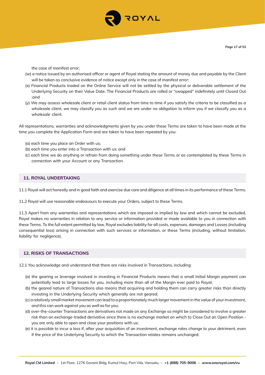

the case of manifest error;

- (w) a notice issued by an authorised officer or agent of Royal stating the amount of money due and payable by the Client will be taken as conclusive evidence of notice except only in the case of manifest error;
- (x) Financial Products traded on the Online Service will not be settled by the physical or deliverable settlement of the Underlying Security on their Value Date. The Financial Products are rolled or "swapped" indefinitely until Closed Out ;and
- (y) We may assess wholesale client or retail client status from time to time if you satisfy the criteria to be classified as a wholesale client, we may classify you as such and we are under no obligation to inform you if we classify you as a wholesale client.

All representations, warranties and acknowledgments given by you under these Terms are taken to have been made at the time you complete the Application Form and are taken to have been repeated by you:

- (a) each time you place an Order with us;
- (b) each time you enter into a Transaction with us; and
- (c) each time we do anything or refrain from doing something under these Terms or as contemplated by these Terms in connection with your Account or any Transaction.

## **11. ROYAL UNDERTAKING**

11.1 Royal will act honestly and in good faith and exercise due care and diligence at all times in its performance of these Terms.

11.2 Royal will use reasonable endeavours to execute your Orders, subject to these Terms.

11.3 Apart from any warranties and representations which are imposed or implied by law and which cannot be excluded, Royal makes no warranties in relation to any service or information provided or made available to you in connection with these Terms. To the full extent permitted by law, Royal excludes liability for all costs, expenses, damages and Losses (including consequential loss) arising in connection with such services or information, or these Terms (including, without limitation, liability for negligence).

#### **12. RISKS OF TRANSACTIONS**

12.1 You acknowledge and understand that there are risks involved in Transactions, including:

- (a) the gearing or leverage involved in investing in Financial Products means that a small Initial Margin payment can potentially lead to large losses for you, including more than all of the Margin ever paid to Royal;
- (b) the geared nature of Transactions also means that acquiring and holding them can carry greater risks than directly investing in the Underlying Security which generally are not geared;
- (c) a relatively small market movement can lead to a proportionately much larger movement in the value of your investment, and this can work against you as well as for you;
- (d) over-the-counter Transactions are derivatives not made on any Exchange so might be considered to involve a greater risk than an exchange-traded derivative since there is no exchange market on which to Close Out an Open Position you are only able to open and close your positions with us;
- (e) it is possible to incur a loss if, after your acquisition of an investment, exchange rates change to your detriment, even if the price of the Underlying Security to which the Transaction relates remains unchanged;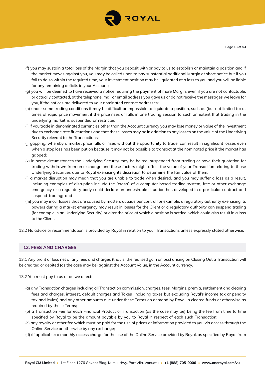

- (f) you may sustain a total loss of the Margin that you deposit with or pay to us to establish or maintain a position and if the market moves against you, you may be called upon to pay substantial additional Margin at short notice but if you fail to do so within the required time, your investment position may be liquidated at a loss to you and you will be liable for any remaining deficits in your Account;
- (g) you will be deemed to have received a notice requiring the payment of more Margin, even if you are not contactable, or actually contacted, at the telephone, mail or email address you gave us or do not receive the messages we leave for you, if the notices are delivered to your nominated contact addresses;
- (h) under some trading conditions it may be difficult or impossible to liquidate a position, such as (but not limited to) at times of rapid price movement if the price rises or falls in one trading session to such an extent that trading in the underlying market is suspended or restricted;
- (i) if you trade in denominated currencies other than the Account currency you may lose money or value of the investment due to exchange rate fluctuations and that these losses may be in addition to any losses on the value of the Underlying Security relevant to the Transactions;
- (j) gapping, whereby a market price falls or rises without the opportunity to trade, can result in significant losses even when a stop loss has been put on because it may not be possible to transact at the nominated price if the market has gapped;
- (k) in some circumstances the Underlying Security may be halted, suspended from trading or have their quotation for trading withdrawn from an exchange and these factors might affect the value of your Transaction relating to those Underlying Securities due to Royal exercising its discretion to determine the fair value of them;
- (l) a market disruption may mean that you are unable to trade when desired, and you may suffer a loss as a result, including examples of disruption include the "crash" of a computer based trading system, free or other exchange emergency or a regulatory body could declare an undesirable situation has developed in a particular contract and suspend trading; and
- (m) you may incur losses that are caused by matters outside our control for example, a regulatory authority exercising its powers during a market emergency may result in losses for the Client or a regulatory authority can suspend trading (for example in an Underlying Security) or alter the price at which a position is settled, which could also result in a loss to the Client.
- 12.2 No advice or recommendation is provided by Royal in relation to your Transactions unless expressly stated otherwise.

#### **13. FEES AND CHARGES**

13.1 Any profit or loss net of any fees and charges (that is, the realised gain or loss) arising on Closing Out a Transaction will be credited or debited (as the case may be) against the Account Value, in the Account currency.

- 13.2 You must pay to us or as we direct:
	- (a) any Transaction charges including all Transaction commission, charges, fees, Margins, premia, settlement and clearing fees and charges, interest, default charges and Taxes (including taxes but excluding Royal's income tax or penalty tax and levies) and any other amounts due under these Terms on demand by Royal in cleared funds or otherwise as required by these Terms;
	- (b) a Transaction Fee for each Financial Product or Transaction (as the case may be) being the fee from time to time specified by Royal to be the amount payable by you to Royal in respect of each such Transaction;
	- (c) any royalty or other fee which must be paid for the use of prices or information provided to you via access through the Online Service or otherwise by any exchange;
	- (d) (if applicable) a monthly access charge for the use of the Online Service provided by Royal, as specified by Royal from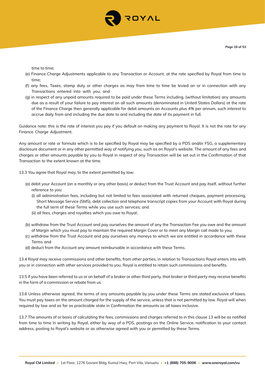

time to time;

- (e) Finance Charge Adjustments applicable to any Transaction or Account, at the rate specified by Royal from time to time;
- (f) any fees, Taxes, stamp duty or other charges as may from time to time be levied on or in connection with any Transactions entered into with you; and
- (g) in respect of any unpaid amounts required to be paid under these Terms including, (without limitation) any amounts due as a result of your failure to pay interest on all such amounts (denominated in United States Dollars) at the rate of the Finance Charge then generally applicable for debit amounts on Accounts plus 4% per annum, such interest to accrue daily from and including the due date to and including the date of its payment in full.

Guidance note: this is the rate of interest you pay if you default on making any payment to Royal. It is not the rate for any Finance Charge Adjustment.

Any amount or rate or formula which is to be specified by Royal may be specified by a PDS and/or FSG, a supplementary disclosure document or in any other permitted way of notifying you, such as on Royal's website. The amount of any fees and charges or other amounts payable by you to Royal in respect of any Transaction will be set out in the Confirmation of that Transaction to the extent known at the time.

13.3 You agree that Royal may, to the extent permitted by law:

- (a) debit your Account (on a monthly or any other basis) or deduct from the Trust Account and pay itself, without further reference to you:
	- (i) all administration fees, including but not limited to fees associated with returned cheques, payment processing, Short Message Service (SMS), debt collection and telephone transcript copies from your Account with Royal during the full term of these Terms while you use such services; and
	- (ii) all fees, charges and royalties which you owe to Royal;
- (b) withdraw from the Trust Account and pay ourselves the amount of any the Transaction Fee you owe and the amount of Margin which you must pay to maintain the required Margin Cover or to meet any Margin call made to you;
- (c) withdraw from the Trust Account and pay ourselves any moneys to which we are entitled in accordance with these Terms and
- (d) deduct from the Account any amount reimbursable in accordance with these Terms.

13.4 Royal may receive commissions and other benefits, from other parties, in relation to Transactions Royal enters into with you or in connection with other services provided to you. Royal is entitled to retain such commissions and benefits.

13.5 If you have been referred to us or on behalf of a broker or other third party, that broker or third party may receive benefits in the form of a commission or rebate from us.

13.6 Unless otherwise agreed, the terms of any amounts payable by you under these Terms are stated exclusive of taxes. You must pay taxes on the amount charged for the supply of the service, unless that is not permitted by law. Royal will when required by law and as far as practicable state in Confirmation the amounts as all taxes inclusive.

13.7 The amounts of or basis of calculating the fees, commissions and charges referred to in this clause 13 will be as notified from time to time in writing by Royal, either by way of a PDS, postings on the Online Service, notification to your contact address, posting to Royal's website or as otherwise agreed with you or permitted by these Terms.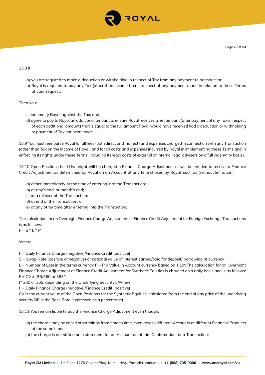

#### 13.8 If:

- (a) you are required to make a deduction or withholding in respect of Tax from any payment to be made; or
- (b) Royal is required to pay any Tax (other than income tax) in respect of any payment made in relation to these Terms at your request,

#### Then you:

- (c) indemnify Royal against the Tax; and
- (d) agree to pay to Royal an additional amount to ensure Royal receives a net amount (after payment of any Tax in respect of each additional amount) that is equal to the full amount Royal would have received had a deduction or withholding or payment of Tax not been made.

13.9 You must reimburse Royal for all fees (both direct and indirect) and expenses charged in connection with any Transaction (other than Tax on the income of Royal) and for all costs and expenses incurred by Royal in implementing these Terms and in enforcing its rights under these Terms (including its legal costs of external or internal legal advisers on a full indemnity basis).

13.10 Open Positions held Overnight will be charged a Finance Charge Adjustment or will be entitled to receive a Finance Credit Adjustment as determined by Royal on an Account at any time chosen by Royal, such as (without limitation):

- (a) either immediately at the time of entering into the Transaction;
- (b) at day's end, or month's end;
- (c) at a rollover of the Transaction;
- (d) at end of the Transaction; or
- (e) at any other time after entering into the Transaction.

The calculation for an Overnight Finance Charge Adjustment or Finance Credit Adjustment for Foreign Exchange Transactions is as follows:

 $F = S * L * P$ 

## Where:

F = Daily Finance Charge (negative)/Finance Credit (positive)

S = Swap Rate (positive or negative) or notional value of interest earned/paid for deposit/ borrowing of currency

L = Number of Lots in the terms currency P = Pip Value in Account currency based on 1 Lot The calculation for an Overnight Finance Charge Adjustment or Finance Credit Adjustment for Synthetic Equities is charged on a daily basis and is as follows:  $F = CV \times (BR/360 \text{ or } 365^*)$ 

(\* 360 or 365, depending on the Underlying Security). Where:

F = Daily Finance Charge (negative)/Finance Credit (positive)

CV is the current value of the Open Positions for the Synthetic Equities, calculated from the end of day price of the underlying security BR is the Base Rate (expressed as a percentage)

13.11 You remain liable to pay the Finance Charge Adjustment even though:

- (a) the charge may be called other things from time to time, even across different Accounts or different Financial Products at the same time;
- (b) the charge is not stated on a statement for an Account or interim Confirmation for a Transaction;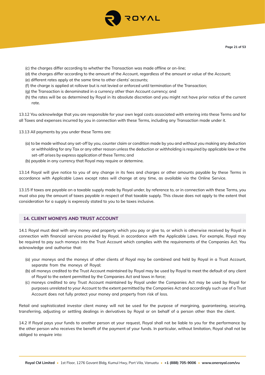

- (c) the charges differ according to whether the Transaction was made offline or on-line;
- (d) the charges differ according to the amount of the Account, regardless of the amount or value of the Account;
- (e) different rates apply at the same time to other clients' accounts;
- (f) the charge is applied at rollover but is not levied or enforced until termination of the Transaction;
- (g) the Transaction is denominated in a currency other than Account currency; and
- (h) the rates will be as determined by Royal in its absolute discretion and you might not have prior notice of the current rate.

13.12 You acknowledge that you are responsible for your own legal costs associated with entering into these Terms and for all Taxes and expenses incurred by you in connection with these Terms, including any Transaction made under it.

- 13.13 All payments by you under these Terms are:
	- (a) to be made without any set-off by you, counter claim or condition made by you and without you making any deduction or withholding for any Tax or any other reason unless the deduction or withholding is required by applicable law or the set-off arises by express application of these Terms; and
	- (b) payable in any currency that Royal may require or determine.

13.14 Royal will give notice to you of any change in its fees and charges or other amounts payable by these Terms in accordance with Applicable Laws except rates will change at any time, as available via the Online Service.

13.15 If taxes are payable on a taxable supply made by Royal under, by reference to, or in connection with these Terms, you must also pay the amount of taxes payable in respect of that taxable supply. This clause does not apply to the extent that consideration for a supply is expressly stated to you to be taxes inclusive.

## **14. CLIENT MONEYS AND TRUST ACCOUNT**

14.1 Royal must deal with any money and property which you pay or give to, or which is otherwise received by Royal in connection with financial services provided by Royal, in accordance with the Applicable Laws. For example, Royal may be required to pay such moneys into the Trust Account which complies with the requirements of the Companies Act. You acknowledge and authorise that:

- (a) your moneys and the moneys of other clients of Royal may be combined and held by Royal in a Trust Account, separate from the moneys of Royal;
- (b) all moneys credited to the Trust Account maintained by Royal may be used by Royal to meet the default of any client of Royal to the extent permitted by the Companies Act and laws in force;
- (c) moneys credited to any Trust Account maintained by Royal under the Companies Act may be used by Royal for purposes unrelated to your Account to the extent permitted by the Companies Act and accordingly such use of a Trust Account does not fully protect your money and property from risk of loss.

Retail and sophisticated investor client money will not be used for the purpose of margining, guaranteeing, securing, transferring, adjusting or settling dealings in derivatives by Royal or on behalf of a person other than the client.

14.2 If Royal pays your funds to another person at your request, Royal shall not be liable to you for the performance by the other person who receives the benefit of the payment of your funds. In particular, without limitation, Royal shall not be obliged to enquire into: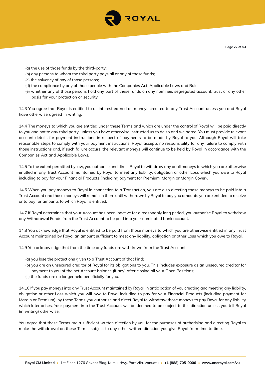

- (a) the use of those funds by the third-party;
- (b) any persons to whom the third party pays all or any of these funds;
- (c) the solvency of any of those persons;
- (d) the compliance by any of those people with the Companies Act, Applicable Laws and Rules;
- (e) whether any of those persons hold any part of these funds on any nominee, segregated account, trust or any other basis for your protection or security.

14.3 You agree that Royal is entitled to all interest earned on moneys credited to any Trust Account unless you and Royal have otherwise agreed in writing.

14.4 The moneys to which you are entitled under these Terms and which are under the control of Royal will be paid directly to you and not to any third party, unless you have otherwise instructed us to do so and we agree. You must provide relevant account details for payment instructions in respect of payments to be made by Royal to you. Although Royal will take reasonable steps to comply with your payment instructions, Royal accepts no responsibility for any failure to comply with those instructions and, if such failure occurs, the relevant moneys will continue to be held by Royal in accordance with the Companies Act and Applicable Laws.

14.5 To the extent permitted by law, you authorise and direct Royal to withdraw any or all moneys to which you are otherwise entitled in any Trust Account maintained by Royal to meet any liability, obligation or other Loss which you owe to Royal including to pay for your Financial Products (including payment for Premium, Margin or Margin Cover).

14.6 When you pay moneys to Royal in connection to a Transaction, you are also directing those moneys to be paid into a Trust Account and those moneys will remain in there until withdrawn by Royal to pay you amounts you are entitled to receive or to pay for amounts to which Royal is entitled.

14.7 If Royal determines that your Account has been inactive for a reasonably long period, you authorise Royal to withdraw any Withdrawal Funds from the Trust Account to be paid into your nominated bank account.

14.8 You acknowledge that Royal is entitled to be paid from those moneys to which you are otherwise entitled in any Trust Account maintained by Royal an amount sufficient to meet any liability, obligation or other Loss which you owe to Royal.

14.9 You acknowledge that from the time any funds are withdrawn from the Trust Account:

- (a) you lose the protections given to a Trust Account of that kind;
- (b) you are an unsecured creditor of Royal for its obligations to you. This includes exposure as an unsecured creditor for payment to you of the net Account balance (if any) after closing all your Open Positions;
- (c) the funds are no longer held beneficially for you.

14.10 If you pay moneys into any Trust Account maintained by Royal, in anticipation of you creating and meeting any liability, obligation or other Loss which you will owe to Royal including to pay for your Financial Products (including payment for Margin or Premium), by these Terms you authorise and direct Royal to withdraw those moneys to pay Royal for any liability which later arises. Your payment into the Trust Account will be deemed to be subject to this direction unless you tell Royal (in writing) otherwise.

You agree that these Terms are a sufficient written direction by you for the purposes of authorising and directing Royal to make the withdrawal on these Terms, subject to any other written direction you give Royal from time to time.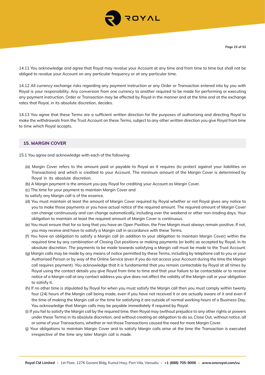

14.11 You acknowledge and agree that Royal may revalue your Account at any time and from time to time but shall not be obliged to revalue your Account on any particular frequency or at any particular time.

14.12 All currency exchange risks regarding any payment instruction or any Order or Transaction entered into by you with Royal is your responsibility. Any conversion from one currency to another required to be made for performing or executing any payment instruction, Order or Transaction may be effected by Royal in the manner and at the time and at the exchange rates that Royal, in its absolute discretion, decides.

14.13 You agree that these Terms are a sufficient written direction for the purposes of authorising and directing Royal to make the withdrawals from the Trust Account on these Terms, subject to any other written direction you give Royal from time to time which Royal accepts.

## **15. MARGIN COVER**

- 15.1 You agree and acknowledge with each of the following:
	- (a) Margin Cover refers to the amount paid or payable to Royal as it requires (to protect against your liabilities on Transactions) and which is credited to your Account. The minimum amount of the Margin Cover is determined by Royal in its absolute discretion.
	- (b) A Margin payment is the amount you pay Royal for crediting your Account as Margin Cover.
	- (c) The time for your payment to maintain Margin Cover and
	- to satisfy any Margin call is of the essence.
	- (d) You must maintain at least the amount of Margin Cover required by Royal whether or not Royal gives any notice to you to make those payments or you have actual notice of the required amount. The required amount of Margin Cover can change continuously and can change automatically, including over the weekend or other non-trading days. Your obligation to maintain at least the required amount of Margin Cover is continuous.
	- (e) You must ensure that for so long that you have an Open Position, the Free Margin must always remain positive. If not, you may receive and have to satisfy a Margin call in accordance with these Terms.
	- (f) You have an obligation to satisfy a Margin call (in addition to your obligation to maintain Margin Cover) within the required time by any combination of Closing Out positions or making payments (or both) as accepted by Royal, in its absolute discretion. The payments to be made towards satisfying a Margin call must be made to the Trust Account.
	- (g) Margin calls may be made by any means of notice permitted by these Terms, including by telephone call to you or your Authorised Person or by way of the Online Service (even if you do not access your Account during the time the Margin call requires payment). You acknowledge that it is fundamental that you remain contactable by Royal at all times by Royal using the contact details you give Royal from time to time and that your failure to be contactable or to receive notice of a Margin call at any contact address you give does not affect the validity of the Margin call or your obligation to satisfy it.
	- (h) If no other time is stipulated by Royal for when you must satisfy the Margin call then you must comply within twenty four (24) hours of the Margin call being made, even if you have not received it or are actually aware of it and even if the time of making the Margin call or the time for satisfying it are outside of normal working hours of a Business Day. You acknowledge that Margin calls may be payable immediately if required by Royal.
	- (i) If you fail to satisfy the Margin call by the required time, then Royal may (without prejudice to any other rights or powers under these Terms) in its absolute discretion, and without creating an obligation to do so, Close Out, without notice, all or some of your Transactions, whether or not those Transactions caused the need for more Margin Cover.
	- (j) Your obligations to maintain Margin Cover and to satisfy Margin calls arise at the time the Transaction is executed irrespective of the time any later Margin call is made.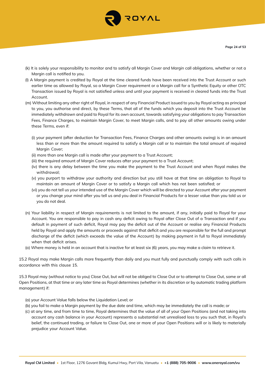

- (k) It is solely your responsibility to monitor and to satisfy all Margin Cover and Margin call obligations, whether or not a Margin call is notified to you.
- (l) A Margin payment is credited by Royal at the time cleared funds have been received into the Trust Account or such earlier time as allowed by Royal, so a Margin Cover requirement or a Margin call for a Synthetic Equity or other OTC Transaction issued by Royal is not satisfied unless and until your payment is received in cleared funds into the Trust Account.
- (m) Without limiting any other right of Royal, in respect of any Financial Product issued to you by Royal acting as principal to you, you authorise and direct, by these Terms, that all of the funds which you deposit into the Trust Account be immediately withdrawn and paid to Royal for its own account, towards satisfying your obligations to pay Transaction Fees, Finance Charges, to maintain Margin Cover, to meet Margin calls, and to pay all other amounts owing under these Terms, even if:
	- (i) your payment (after deduction for Transaction Fees, Finance Charges and other amounts owing) is in an amount less than or more than the amount required to satisfy a Margin call or to maintain the total amount of required Marain Cover:
	- (ii) more than one Margin call is made after your payment to a Trust Account;
	- (iii) the required amount of Margin Cover reduces after your payment to a Trust Account;
	- (iv) there is any delay between the time you make the payment to the Trust Account and when Royal makes the withdrawal;
	- (v) you purport to withdraw your authority and direction but you still have at that time an obligation to Royal to maintain an amount of Margin Cover or to satisfy a Margin call which has not been satisfied; or
	- (vi) you do not tell us your intended use of the Margin Cover which will be directed to your Account after your payment or you change your mind after you tell us and you deal in Financial Products for a lesser value than you told us or you do not deal.
- (n) Your liability in respect of Margin requirements is not limited to the amount, if any, initially paid to Royal for your Account. You are responsible to pay in cash any deficit owing to Royal after Close Out of a Transaction and if you default in payment of such deficit, Royal may pay the deficit out of the Account or realise any Financial Products held by Royal and apply the amounts or proceeds against that deficit and you are responsible for the full and prompt discharge of the deficit (which exceeds the value of the Account) by making payment in full to Royal immediately when that deficit arises.
- (o) Where money is held in an account that is inactive for at least six (6) years, you may make a claim to retrieve it.

15.2 Royal may make Margin calls more frequently than daily and you must fully and punctually comply with such calls in accordance with this clause 15.

15.3 Royal may (without notice to you) Close Out, but will not be obliged to Close Out or to attempt to Close Out, some or all Open Positions, at that time or any later time as Royal determines (whether in its discretion or by automatic trading platform management) if:

- (a) your Account Value falls below the Liquidation Level; or
- (b) you fail to make a Margin payment by the due date and time, which may be immediately the call is made; or
- (c) at any time, and from time to time, Royal determines that the value of all of your Open Positions (and not taking into account any cash balance in your Account) represents a substantial net unrealised loss to you such that, in Royal's belief, the continued trading, or failure to Close Out, one or more of your Open Positions will or is likely to materially prejudice your Account Value.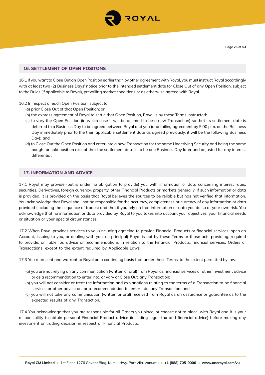

## **16. SETTLEMENT OF OPEN POSITONS**

16.1 If you want to Close Out an Open Position earlier than by other agreement with Royal, you must instruct Royal accordingly with at least two (2) Business Days' notice prior to the intended settlement date for Close Out of any Open Position, subject to the Rules (if applicable to Royal), prevailing market conditions or as otherwise agreed with Royal.

16.2 In respect of each Open Position, subject to:

- (a) prior Close Out of that Open Position; or
- (b) the express agreement of Royal to settle that Open Position, Royal is by these Terms instructed:
- (c) to vary the Open Position (in which case it will be deemed to be a new Transaction) so that its settlement date is deferred to a Business Day to be agreed between Royal and you (and failing agreement by 5:00 p.m. on the Business Day immediately prior to the then applicable settlement date as agreed previously, it will be the following Business Day); and
- (d) to Close Out the Open Position and enter into a new Transaction for the same Underlying Security and being the same bought or sold position except that the settlement date is to be one Business Day later and adjusted for any interest differential.

## **17. INFORMATION AND ADVICE**

17.1 Royal may provide (but is under no obligation to provide) you with information or data concerning interest rates, securities, Derivatives, foreign currency, property, other Financial Products or markets generally. If such information or data is provided, it is provided on the basis that Royal believes the sources to be reliable but has not verified that information. You acknowledge that Royal shall not be responsible for the accuracy, completeness or currency of any information or data provided (including the sequence of trades) and that if you rely on that information or data you do so at your own risk. You acknowledge that no information or data provided by Royal to you takes into account your objectives, your financial needs or situation or your special circumstances.

17.2 When Royal provides services to you (including agreeing to provide Financial Products or financial services, open an Account, issuing to you, or dealing with you, as principal) Royal is not by these Terms or those acts providing, required to provide, or liable for, advice or recommendations in relation to the Financial Products, financial services, Orders or Transactions, except to the extent required by Applicable Laws.

17.3 You represent and warrant to Royal on a continuing basis that under these Terms, to the extent permitted by law:

- (a) you are not relying on any communication (written or oral) from Royal as financial services or other investment advice or as a recommendation to enter into, or vary or Close Out, any Transaction;
- (b) you will not consider or treat the information and explanations relating to the terms of a Transaction to be financial services or other advice on, or a recommendation to, enter into, any Transaction; and
- (c) you will not take any communication (written or oral) received from Royal as an assurance or guarantee as to the expected results of any Transaction.

17.4 You acknowledge that you are responsible for all Orders you place, or choose not to place, with Royal and it is your responsibility to obtain personal Financial Product advice (including legal, tax and financial advice) before making any investment or trading decision in respect of Financial Products.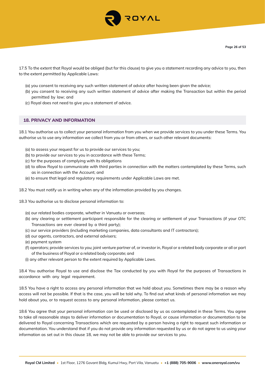

17.5 To the extent that Royal would be obliged (but for this clause) to give you a statement recording any advice to you, then to the extent permitted by Applicable Laws:

- (a) you consent to receiving any such written statement of advice after having been given the advice;
- (b) you consent to receiving any such written statement of advice after making the Transaction but within the period permitted by law; and
- (c) Royal does not need to give you a statement of advice.

## **18. PRIVACY AND INFORMATION**

18.1 You authorise us to collect your personal information from you when we provide services to you under these Terms. You authorise us to use any information we collect from you or from others, or such other relevant documents:

- (a) to assess your request for us to provide our services to you;
- (b) to provide our services to you in accordance with these Terms;
- (c) for the purposes of complying with its obligations
- (d) to allow Royal to communicate with third parties in connection with the matters contemplated by these Terms, such as in connection with the Account; and
- (e) to ensure that legal and regulatory requirements under Applicable Laws are met.
- 18.2 You must notify us in writing when any of the information provided by you changes.
- 18.3 You authorise us to disclose personal information to:
	- (a) our related bodies corporate, whether in Vanuatu or overseas;
	- (b) any clearing or settlement participant responsible for the clearing or settlement of your Transactions (if your OTC Transactions are ever cleared by a third party);
	- (c) our service providers (including marketing companies, data consultants and IT contractors);
	- (d) our agents, contractors, and external advisers;
	- (e) payment system
	- (f) operators; provide services to you; joint venture partner of, or investor in, Royal or a related body corporate or all or part of the business of Royal or a related body corporate; and
	- (i) any other relevant person to the extent required by Applicable Laws.

18.4 You authorise Royal to use and disclose the Tax conducted by you with Royal for the purposes of Transactions in accordance with any legal requirement.

18.5 You have a right to access any personal information that we hold about you. Sometimes there may be a reason why access will not be possible. If that is the case, you will be told why. To find out what kinds of personal information we may hold about you, or to request access to any personal information, please contact us.

18.6 You agree that your personal information can be used or disclosed by us as contemplated in these Terms. You agree to take all reasonable steps to deliver information or documentation to Royal, or cause information or documentation to be delivered to Royal concerning Transactions which are requested by a person having a right to request such information or documentation. You understand that if you do not provide any information requested by us or do not agree to us using your information as set out in this clause 18, we may not be able to provide our services to you.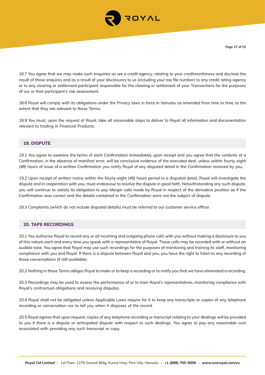

18.7 You agree that we may make such enquiries as we a credit agency, relating to your creditworthiness and disclose the result of those enquires and as a result of your disclosures to us (including your tax file number) to any credit rating agency or to any clearing or settlement participant responsible for the clearing or settlement of your Transactions for the purposes of our or that participant's risk assessment.

18.8 Royal will comply with its obligations under the Privacy laws in force in Vanuatu as amended from time to time, to the extent that they are relevant to these Terms.

18.9 You must, upon the request of Royal, take all reasonable steps to deliver to Royal all information and documentation relevant to trading in Financial Products.

## **19. DISPUTE**

19.1 You agree to examine the terms of each Confirmation immediately upon receipt and you agree that the contents of a Confirmation, in the absence of manifest error, will be conclusive evidence of the executed deal, unless within fourty-eight (48) hours of issue of a written Confirmation you notify Royal of any disputed detail in the Confirmation received by you,

19.2 Upon receipt of written notice within the fourty-eight (48) hours period to a disputed detail, Royal will investigate the dispute and in cooperation with you, must endeavour to resolve the dispute in good faith. Notwithstanding any such dispute, you will continue to satisfy its obligation to pay Margin calls made by Royal in respect of the derivative position as if the Confirmation was correct and the details contained in the Confirmation were not the subject of dispute.

19.3 Complaints (which do not include disputed details) must be referred to our customer service officer.

#### **20. TAPE RECORDINGS**

20.1 You authorise Royal to record any or all incoming and outgoing phone calls with you without making a disclosure to you of this nature each and every time you speak with a representative of Royal. These calls may be recorded with or without an audible tone. You agree that Royal may use such recordings for the purposes of monitoring and training its staff, monitoring compliance with you and Royal. If there is a dispute between Royal and you, you have the right to listen to any recording of those conversations (if still available).

20.2 Nothing in these Terms obliges Royal to make or to keep a recording or to notify you that we have eliminated a recording.

20.3 Recordings may be used to assess the performance of or to train Royal's representatives, monitoring compliance with Royal's contractual obligations and resolving disputes.

20.4 Royal shall not be obligated unless Applicable Laws require for it to keep any transcripts or copies of any telephone recording or conversation nor to tell you when it disposes of the record.

20.5 Royal agrees that upon request, copies of any telephone recording or transcript relating to your dealings will be provided to you if there is a dispute or anticipated dispute with respect to such dealings. You agree to pay any reasonable cost associated with providing any such transcript or copy.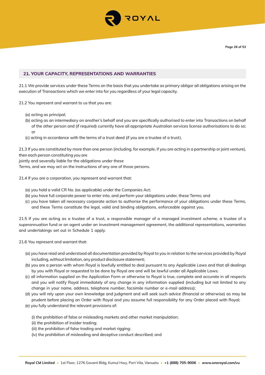

## **21. YOUR CAPACITY, REPRESENTATIONS AND WARRANTIES**

21.1 We provide services under these Terms on the basis that you undertake as primary obligor all obligations arising on the execution of Transactions which we enter into for you regardless of your legal capacity.

21.2 You represent and warrant to us that you are:

- (a) acting as principal;
- (b) acting as an intermediary on another's behalf and you are specifically authorised to enter into Transactions on behalf of the other person and (if required) currently have all appropriate Australian services license authorisations to do so; or
- (c) acting in accordance with the terms of a trust deed (if you are a trustee of a trust).

21.3 If you are constituted by more than one person (including, for example, if you are acting in a partnership or joint venture), then each person constituting you are

jointly and severally liable for the obligations under these

Terms, and we may act on the instructions of any one of those persons.

21.4 If you are a corporation, you represent and warrant that:

- (a) you hold a valid CR No. (as applicable) under the Companies Act;
- (b) you have full corporate power to enter into, and perform your obligations under, these Terms; and
- (c) you have taken all necessary corporate action to authorise the performance of your obligations under these Terms, and these Terms constitute the legal, valid and binding obligations, enforceable against you.

21.5 If you are acting as a trustee of a trust, a responsible manager of a managed investment scheme, a trustee of a superannuation fund or an agent under an investment management agreement, the additional representations, warranties and undertakings set out in Schedule 1 apply.

21.6 You represent and warrant that:

- (a) you have read and understood all documentation provided by Royal to you in relation to the services provided by Royal including, without limitation, any product disclosure statement;
- (b) you are a person with whom Royal is lawfully entitled to deal pursuant to any Applicable Laws and that all dealings by you with Royal or requested to be done by Royal are and will be lawful under all Applicable Laws;
- (c) all information supplied on the Application Form or otherwise to Royal is true, complete and accurate in all respects and you will notify Royal immediately of any change in any information supplied (including but not limited to any change in your name, address, telephone number, facsimile number or e-mail address);
- (d) you will rely upon your own knowledge and judgment and will seek such advice (financial or otherwise) as may be prudent before placing an Order with Royal and you assume full responsibility for any Order placed with Royal;
- (e) you fully understand the relevant provisions of:
	- (i) the prohibition of false or misleading markets and other market manipulation;
	- (ii) the prohibition of insider trading;
	- (iii) the prohibition of false trading and market rigging;
	- (iv) the prohibition of misleading and deceptive conduct described; and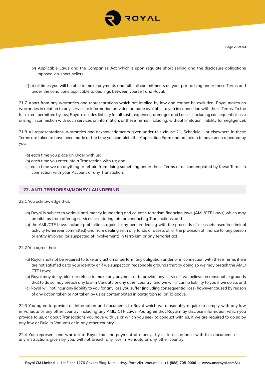

- (v) Applicable Laws and the Companies Act which s upon regulate short selling and the disclosure obligations imposed on short sellers;
- (f) at all times you will be able to make payments and fulfil all commitments on your part arising under these Terms and under the conditions applicable to dealings between yourself and Royal.

21.7 Apart from any warranties and representations which are implied by law and cannot be excluded, Royal makes no warranties in relation to any service or information provided or made available to you in connection with these Terms. To the full extent permitted by law, Royal excludes liability for all costs, expenses, damages and Losses (including consequential loss) arising in connection with such services or information, or these Terms (including, without limitation, liability for negligence).

21.8 All representations, warranties and acknowledgments given under this clause 21, Schedule 1 or elsewhere in these Terms are taken to have been made at the time you complete the Application Form and are taken to have been repeated by you:

- (a) each time you place an Order with us;
- (b) each time you enter into a Transaction with us; and
- (c) each time we do anything or refrain from doing something under these Terms or as contemplated by these Terms in connection with your Account or any Transaction.

#### **22. ANTI-TERRORISM/MONEY LAUNDERING**

#### 22.1 You acknowledge that:

- (a) Royal is subject to various anti-money laundering and counter-terrorism financing laws (AML/CTF Laws) which may prohibit us from offering services or entering into or conducting Transactions; and
- (b) the AML/CTF Laws include prohibitions against any person dealing with the proceeds of or assets used in criminal activity (wherever committed) and from dealing with any funds or assets of, or the provision of finance to, any person or entity involved (or suspected of involvement) in terrorism or any terrorist act.
- 22.2 You agree that:
	- (a) Royal shall not be required to take any action or perform any obligation under or in connection with these Terms if we are not satisfied as to your identity or if we suspect on reasonable grounds that by doing so we may breach the AML/ CTF Laws;
	- (b) Royal may delay, block or refuse to make any payment or to provide any service if we believe on reasonable grounds that to do so may breach any law in Vanuatu or any other country, and we will incur no liability to you if we do so; and
	- (c) Royal will not incur any liability to you for any loss you suffer (including consequential loss) however caused by reason of any action taken or not taken by us as contemplated in paragraph (a) or (b) above.

22.3 You agree to provide all information and documents to Royal which we reasonably require to comply with any law in Vanuatu or any other country, including any AML/ CTF Laws. You agree that Royal may disclose information which you provide to us, or about Transactions you have with us or which you seek to conduct with us, if we are required to do so by any law or Rule in Vanuatu or in any other country.

22.4 You represent and warrant to Royal that the payment of moneys by us in accordance with this document, or any instructions given by you, will not breach any law in Vanuatu or any other country.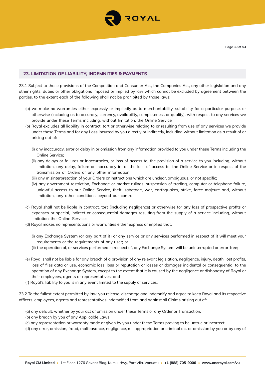

## **23. LIMITATION OF LIABILITY, INDEMNITIES & PAYMENTS**

23.1 Subject to those provisions of the Competition and Consumer Act, the Companies Act, any other legislation and any other rights, duties or other obligations imposed or implied by law which cannot be excluded by agreement between the parties, to the extent each of the following shall not be prohibited by those laws:

- (a) we make no warranties either expressly or impliedly as to merchantability, suitability for a particular purpose, or otherwise (including as to accuracy, currency, availability, completeness or quality), with respect to any services we provide under these Terms including, without limitation, the Online Service;
- (b) Royal excludes all liability in contract, tort or otherwise relating to or resulting from use of any services we provide under these Terms and for any Loss incurred by you directly or indirectly, including without limitation as a result of or arising out of:
	- (i) any inaccuracy, error or delay in or omission from any information provided to you under these Terms including the Online Service;
	- (ii) any delays or failures or inaccuracies, or loss of access to, the provision of a service to you including, without limitation, any delay, failure or inaccuracy in, or the loss of access to, the Online Service or in respect of the transmission of Orders or any other information;
	- (iii) any misinterpretation of your Orders or instructions which are unclear, ambiguous, or not specific;
	- (iv) any government restriction, Exchange or market rulings, suspension of trading, computer or telephone failure, unlawful access to our Online Service, theft, sabotage, war, earthquakes, strike, force majeure and, without limitation, any other conditions beyond our control;
- (c) Royal shall not be liable in contract, tort (including negligence) or otherwise for any loss of prospective profits or expenses or special, indirect or consequential damages resulting from the supply of a service including, without limitation the Online Service;
- (d) Royal makes no representations or warranties either express or implied that:
	- (i) any Exchange System (or any part of it) or any service or any services performed in respect of it will meet your requirements or the requirements of any user; or
	- (ii) the operation of, or services performed in respect of, any Exchange System will be uninterrupted or error-free;
- (e) Royal shall not be liable for any breach of a provision of any relevant legislation, negligence, injury, death, lost profits, loss of files data or use, economic loss, loss or reputation or losses or damages incidental or consequential to the operation of any Exchange System, except to the extent that it is caused by the negligence or dishonesty of Royal or their employees, agents or representatives; and
- (f) Royal's liability to you is in any event limited to the supply of services.

23.2 To the fullest extent permitted by law, you release, discharge and indemnify and agree to keep Royal and its respective officers, employees, agents and representatives indemnified from and against all Claims arising out of:

(a) any default, whether by your act or omission under these Terms or any Order or Transaction;

(b) any breach by you of any Applicable Laws;

(c) any representation or warranty made or given by you under these Terms proving to be untrue or incorrect;

(d) any error, omission, fraud, malfeasance, negligence, misappropriation or criminal act or omission by you or by any of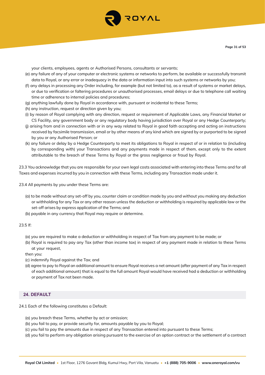

your clients, employees, agents or Authorised Persons, consultants or servants;

- (e) any failure of any of your computer or electronic systems or networks to perform, be available or successfully transmit data to Royal, or any error or inadequacy in the data or information input into such systems or networks by you;
- (f) any delays in processing any Order including, for example (but not limited to), as a result of systems or market delays, or due to verification or faltering procedures or unauthorised processes, email delays or due to telephone call waiting time or adherence to internal policies and procedures;
- (g) anything lawfully done by Royal in accordance with, pursuant or incidental to these Terms;
- (h) any instruction, request or direction given by you;
- (i) by reason of Royal complying with any direction, request or requirement of Applicable Laws, any Financial Market or CS Facility, any government body or any regulatory body having jurisdiction over Royal or any Hedge Counterparty;
- (j) arising from and in connection with or in any way related to Royal in good faith accepting and acting on instructions received by facsimile transmission, email or by other means of any kind which are signed by or purported to be signed by you or any Authorised Person; or
- (k) any failure or delay by a Hedge Counterparty to meet its obligations to Royal in respect of or in relation to (including by corresponding with) your Transactions and any payments made in respect of them, except only to the extent attributable to the breach of these Terms by Royal or the gross negligence or fraud by Royal.

23.3 You acknowledge that you are responsible for your own legal costs associated with entering into these Terms and for all Taxes and expenses incurred by you in connection with these Terms, including any Transaction made under it.

23.4 All payments by you under these Terms are:

- (a) to be made without any set-off by you, counter claim or condition made by you and without you making any deduction or withholding for any Tax or any other reason unless the deduction or withholding is required by applicable law or the set-off arises by express application of the Terms; and
- (b) payable in any currency that Royal may require or determine.

23.5 If:

- (a) you are required to make a deduction or withholding in respect of Tax from any payment to be made; or
- (b) Royal is required to pay any Tax (other than income tax) in respect of any payment made in relation to these Terms at your request,

then you:

- (c) indemnify Royal against the Tax; and
- (d) agree to pay to Royal an additional amount to ensure Royal receives a net amount (after payment of any Tax in respect of each additional amount) that is equal to the full amount Royal would have received had a deduction or withholding or payment of Tax not been made.

## **24. DEFAULT**

- 24.1 Each of the following constitutes a Default:
	- (a) you breach these Terms, whether by act or omission;
	- (b) you fail to pay, or provide security for, amounts payable by you to Royal;
	- (c) you fail to pay the amounts due in respect of any Transaction entered into pursuant to these Terms;
	- (d) you fail to perform any obligation arising pursuant to the exercise of an option contract or the settlement of a contract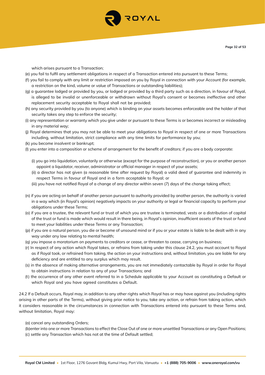

which arises pursuant to a Transaction;

- (e) you fail to fulfil any settlement obligations in respect of a Transaction entered into pursuant to these Terms;
- (f) you fail to comply with any limit or restriction imposed on you by Royal in connection with your Account (for example, a restriction on the kind, volume or value of Transactions or outstanding liabilities);
- (g) a guarantee lodged or provided by you, or lodged or provided by a third party such as a direction, in favour of Royal, is alleged to be invalid or unenforceable or withdrawn without Royal's consent or becomes ineffective and other replacement security acceptable to Royal shall not be provided;
- (h) any security provided by you (to anyone) which is binding on your assets becomes enforceable and the holder of that security takes any step to enforce the security;
- (i) any representation or warranty which you give under or pursuant to these Terms is or becomes incorrect or misleading in any material way;
- (j) Royal determines that you may not be able to meet your obligations to Royal in respect of one or more Transactions including, without limitation, strict compliance with any time limits for performance by you;
- (k) you become insolvent or bankrupt;
- (l) you enter into a composition or scheme of arrangement for the benefit of creditors; if you are a body corporate:
	- (i) you go into liquidation, voluntarily or otherwise (except for the purpose of reconstruction), or you or another person appoint a liquidator, receiver, administrator or official manager in respect of your assets;
	- (ii) a director has not given (a reasonable time after request by Royal) a valid deed of guarantee and indemnity in respect Terms in favour of Royal and in a form acceptable to Royal; or
	- (iii) you have not notified Royal of a change of any director within seven (7) days of the change taking effect;
- (n) if you are acting on behalf of another person pursuant to authority provided by another person, the authority is varied in a way which (in Royal's opinion) negatively impacts on your authority or legal or financial capacity to perform your obligations under these Terms;
- (o) if you are a trustee, the relevant fund or trust of which you are trustee is terminated, vests or a distribution of capital of the trust or fund is made which would result in there being, in Royal's opinion, insufficient assets of the trust or fund to meet your liabilities under these Terms or any Transaction;
- (p) if you are a natural person, you die or become of unsound mind or if you or your estate is liable to be dealt with in any way under any law relating to mental health;
- (q) you impose a moratorium on payments to creditors or cease, or threaten to cease, carrying on business;
- (r) In respect of any action which Royal takes, or refrains from taking under this clause 24.2, you must account to Royal as if Royal took, or refrained from taking, the action on your instructions and, without limitation, you are liable for any deficiency and are entitled to any surplus which may result.
- (s) in the absence of making alternative arrangements, you are not immediately contactable by Royal in order for Royal to obtain instructions in relation to any of your Transactions; and
- (t) the occurrence of any other event referred to in a Schedule applicable to your Account as constituting a Default or which Royal and you have agreed constitutes a Default.

24.2 If a Default occurs, Royal may, in addition to any other rights which Royal has or may have against you (including rights arising in other parts of the Terms), without giving prior notice to you, take any action, or refrain from taking action, which it considers reasonable in the circumstances in connection with Transactions entered into pursuant to these Terms and, without limitation, Royal may:

(a) cancel any outstanding Orders;

(b)enter into one or more Transactions to effect the Close Out of one or more unsettled Transactions or any Open Positions; (c) settle any Transaction which has not at the time of Default settled;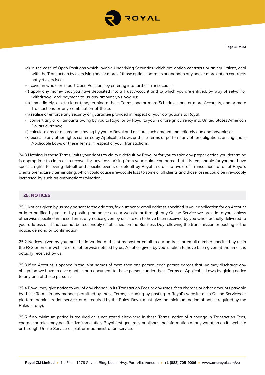

- (d) in the case of Open Positions which involve Underlying Securities which are option contracts or an equivalent, deal with the Transaction by exercising one or more of those option contracts or abandon any one or more option contracts not yet exercised;
- (e) cover in whole or in part Open Positions by entering into further Transactions;
- (f) apply any money that you have deposited into a Trust Account and to which you are entitled, by way of set-off or withdrawal and payment to us any amount you owe us;
- (g) immediately, or at a later time, terminate these Terms, one or more Schedules, one or more Accounts, one or more Transactions or any combination of these;
- (h) realise or enforce any security or guarantee provided in respect of your obligations to Royal;
- (i) convert any or all amounts owing by you to Royal or by Royal to you in a foreign currency into United States American Dollars currency;
- (j) calculate any or all amounts owing by you to Royal and declare such amount immediately due and payable; or
- (k) exercise any other rights conferred by Applicable Laws or these Terms or perform any other obligations arising under Applicable Laws or these Terms in respect of your Transactions.

24.3 Nothing in these Terms limits your rights to claim a default by Royal or for you to take any proper action you determine is appropriate to claim or to recover for any Loss arising from your claim. You agree that it is reasonable for you not have specific rights following default and specific events of default by Royal in order to avoid all Transactions of all of Royal's clients prematurely terminating, which could cause irrevocable loss to some or all clients and those losses could be irrevocably increased by such an automatic termination.

## **25. NOTICES**

25.1 Notices given by us may be sent to the address, fax number or email address specified in your application for an Account or later notified by you, or by posting the notice on our website or through any Online Service we provide to you. Unless otherwise specified in these Terms any notice given by us is taken to have been received by you when actually delivered to your address or, if that cannot be reasonably established, on the Business Day following the transmission or posting of the notice, demand or Confirmation

25.2 Notices given by you must be in writing and sent by post or email to our address or email number specified by us in the FSG or on our website or as otherwise notified by us. A notice given by you is taken to have been given at the time it is actually received by us.

25.3 If an Account is opened in the joint names of more than one person, each person agrees that we may discharge any obligation we have to give a notice or a document to those persons under these Terms or Applicable Laws by giving notice to any one of those persons.

25.4 Royal may give notice to you of any change in its Transaction Fees or any rates, fees charges or other amounts payable by these Terms in any manner permitted by these Terms, including by posting to Royal's website or to Online Services or platform administration service, or as required by the Rules. Royal must give the minimum period of notice required by the Rules (if any).

25.5 If no minimum period is required or is not stated elsewhere in these Terms, notice of a change in Transaction Fees, charges or roles may be effective immeiatlely Royal first generally publishes the information of any variation on its website or through Online Service or platform administration service.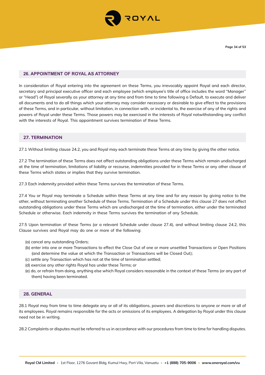

## **26. APPOINTMENT OF ROYAL AS ATTORNEY**

In consideration of Royal entering into the agreement on these Terms, you irrevocably appoint Royal and each director, secretary and principal executive officer and each employee (which employee's title of office includes the word "Manager" or "Head") of Royal severally as your attorney at any time and from time to time following a Default, to execute and deliver all documents and to do all things which your attorney may consider necessary or desirable to give effect to the provisions of these Terms, and in particular, without limitation, in connection with, or incidental to, the exercise of any of the rights and powers of Royal under these Terms. Those powers may be exercised in the interests of Royal notwithstanding any conflict with the interests of Royal. This appointment survives termination of these Terms.

## **27. TERMINATION**

27.1 Without limiting clause 24.2, you and Royal may each terminate these Terms at any time by giving the other notice.

27.2 The termination of these Terms does not affect outstanding obligations under these Terms which remain undischarged at the time of termination, limitations of liability or recourse, indemnities provided for in these Terms or any other clause of these Terms which states or implies that they survive termination.

27.3 Each indemnity provided within these Terms survives the termination of these Terms.

27.4 You or Royal may terminate a Schedule within these Terms at any time and for any reason by giving notice to the other, without terminating another Schedule of these Terms. Termination of a Schedule under this clause 27 does not affect outstanding obligations under these Terms which are undischarged at the time of termination, either under the terminated Schedule or otherwise. Each indemnity in these Terms survives the termination of any Schedule.

27.5 Upon termination of these Terms (or a relevant Schedule under clause 27.4), and without limiting clause 24.2, this Clause survives and Royal may do one or more of the following:

- (a) cancel any outstanding Orders;
- (b) enter into one or more Transactions to effect the Close Out of one or more unsettled Transactions or Open Positions (and determine the value at which the Transaction or Transactions will be Closed Out);
- (c) settle any Transaction which has not at the time of termination settled;
- (d) exercise any other rights Royal has under these Terms; or
- (e) do, or refrain from doing, anything else which Royal considers reasonable in the context of these Terms (or any part of them) having been terminated.

#### **28. GENERAL**

28.1 Royal may from time to time delegate any or all of its obligations, powers and discretions to anyone or more or all of its employees. Royal remains responsible for the acts or omissions of its employees. A delegation by Royal under this clause need not be in writing.

28.2 Complaints or disputes must be referred to us in accordance with our procedures from time to time for handling disputes.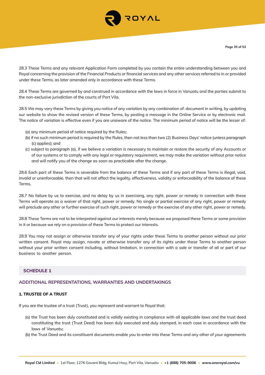

28.3 These Terms and any relevant Application Form completed by you contain the entire understanding between you and Royal concerning the provision of the Financial Products or financial services and any other services referred to in or provided under these Terms, as later amended only in accordance with these Terms.

28.4 These Terms are governed by and construed in accordance with the laws in force in Vanuatu and the parties submit to the non-exclusive jurisdiction of the courts of Port Vila.

28.5 We may vary these Terms by giving you notice of any variation by any combination of: document in writing, by updating our website to show the revised version of these Terms, by posting a message in the Online Service or by electronic mail. The notice of variation is effective even if you are unaware of the notice. The minimum period of notice will be the lesser of:

- (a) any minimum period of notice required by the Rules;
- (b) if no such minimum period is required by the Rules, then not less than two (2) Business Days' notice (unless paragraph (c) applies); and
- (c) subject to paragraph (a), if we believe a variation is necessary to maintain or restore the security of any Accounts or of our systems or to comply with any legal or regulatory requirement, we may make the variation without prior notice and will notify you of the change as soon as practicable after the change.

28.6 Each part of these Terms is severable from the balance of these Terms and if any part of these Terms is illegal, void, invalid or unenforceable, then that will not affect the legality, effectiveness, validity or enforceability of the balance of these Terms.

28.7 No failure by us to exercise, and no delay by us in exercising, any right, power or remedy in connection with these Terms will operate as a waiver of that right, power or remedy. No single or partial exercise of any right, power or remedy will preclude any other or further exercise of such right, power or remedy or the exercise of any other right, power or remedy.

28.8 These Terms are not to be interpreted against our interests merely because we proposed these Terms or some provision in it or because we rely on a provision of these Terms to protect our interests.

28.9 You may not assign or otherwise transfer any of your rights under these Terms to another person without our prior written consent. Royal may assign, novate or otherwise transfer any of its rights under these Terms to another person without your prior written consent including, without limitation, in connection with a sale or transfer of all or part of our business to another person.

# **SCHEDULE 1**

#### **ADDITIONAL REPRESENTATIONS, WARRANTIES AND UNDERTAKINGS**

#### **1. TRUSTEE OF A TRUST**

If you are the trustee of a trust (Trust), you represent and warrant to Royal that:

- (a) the Trust has been duly constituted and is validly existing in compliance with all applicable laws and the trust deed constituting the trust (Trust Deed) has been duly executed and duly stamped, in each case in accordance with the laws of Vanuatu;
- (b) the Trust Deed and its constituent documents enable you to enter into these Terms and any other of your agreements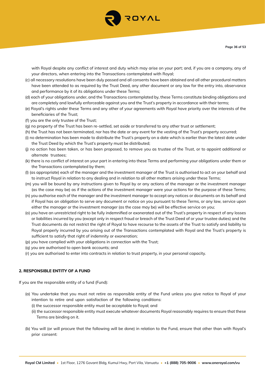

with Royal despite any conflict of interest and duty which may arise on your part; and, if you are a company, any of your directors, when entering into the Transactions contemplated with Royal;

- (c) all necessary resolutions have been duly passed and all consents have been obtained and all other procedural matters have been attended to as required by the Trust Deed, any other document or any law for the entry into, observance and performance by it of its obligations under these Terms;
- (d) each of your obligations under, and the Transactions contemplated by, these Terms constitute binding obligations and are completely and lawfully enforceable against you and the Trust's property in accordance with their terms;
- (e) Royal's rights under these Terms and any other of your agreements with Royal have priority over the interests of the beneficiaries of the Trust;
- (f) you are the only trustee of the Trust;
- (g) no property of the Trust has been re-settled, set aside or transferred to any other trust or settlement;
- (h) the Trust has not been terminated, nor has the date or any event for the vesting of the Trust's property occurred;
- (i) no determination has been made to distribute the Trust's property on a date which is earlier than the latest date under the Trust Deed by which the Trust's property must be distributed;
- (j) no action has been taken, or has been proposed, to remove you as trustee of the Trust, or to appoint additional or alternate trustees;
- (k) there is no conflict of interest on your part in entering into these Terms and performing your obligations under them or the Transactions contemplated by them;
- (l) (as appropriate) each of the manager and the investment manager of the Trust is authorised to act on your behalf and to instruct Royal in relation to any dealing and in relation to all other matters arising under these Terms;
- (m) you will be bound by any instructions given to Royal by or any actions of the manager or the investment manager (as the case may be) as if the actions of the investment manager were your actions for the purpose of these Terms;
- (n) you authorise each of the manager and the investment manager to accept any notices or documents on its behalf and if Royal has an obligation to serve any document or notice on you pursuant to these Terms, or any law, service upon either the manager or the investment manager (as the case may be) will be effective service on you;
- (o) you have an unrestricted right to be fully indemnified or exonerated out of the Trust's property in respect of any losses or liabilities incurred by you (except only in respect fraud or breach of the Trust Deed of or your trustee duties) and the Trust documents do not restrict the right of Royal to have recourse to the assets of the Trust to satisfy and liability to Royal properly incurred by you arising out of the Transactions contemplated with Royal and the Trust's property is sufficient to satisfy that right of indemnity or exoneration;
- (p) you have complied with your obligations in connection with the Trust;
- (q) you are authorised to open bank accounts; and
- (r) you are authorised to enter into contracts in relation to trust property, in your personal capacity.

## **2. RESPONSIBLE ENTITY OF A FUND**

If you are the responsible entity of a fund (Fund):

- (a) You undertake that you must not retire as responsible entity of the Fund unless you give notice to Royal of your intention to retire and upon satisfaction of the following conditions:
	- (i) the successor responsible entity must be acceptable to Royal; and
	- (ii) the successor responsible entity must execute whatever documents Royal reasonably requires to ensure that these Terms are binding on it.
- (b) You will (or will procure that the following will be done) in relation to the Fund, ensure that other than with Royal's prior consent: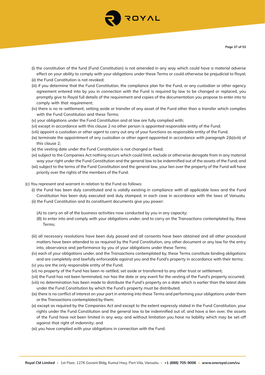- (i) the constitution of the fund (Fund Constitution) is not amended in any way which could have a material adverse effect on your ability to comply with your obligations under these Terms or could otherwise be prejudicial to Royal;
- (ii) the Fund Constitution is not revoked;
- (iii) if you determine that the Fund Constitution, the compliance plan for the Fund, or any custodian or other agency agreement entered into by you in connection with the Fund is required by law to be changed or replaced, you promptly give to Royal full details of the requirement and copies of the documentation you propose to enter into to comply with that requirement;
- (iv) there is no re-settlement, setting aside or transfer of any asset of the Fund other than a transfer which complies with the Fund Constitution and these Terms;
- (v) your obligations under the Fund Constitution and at law are fully complied with;
- (vi) except in accordance with this clause 2 no other person is appointed responsible entity of the Fund;
- (viii) appoint a custodian or other agent to carry out any of your functions as responsible entity of the Fund;
- (ix) terminate the appointment of any custodian or other agent appointed in accordance with paragraph 2(b)(viii) of this clause 2;
- (x) the vesting date under the Fund Constitution is not changed or fixed;
- (xi) subject to the Companies Act nothing occurs which could limit, exclude or otherwise derogate from in any material way your right under the Fund Constitution and the general law to be indemnified out of the assets of the Fund; and
- (xii) subject to the terms of the Fund Constitution and the general law, your lien over the property of the Fund will have priority over the rights of the members of the Fund.
- (c) You represent and warrant in relation to the Fund as follows:
	- (i) the Fund has been duly constituted and is validly existing in compliance with all applicable laws and the Fund Constitution has been duly executed and duly stamped, in each case in accordance with the laws of Vanuatu
	- (ii) the Fund Constitution and its constituent documents give you power:
		- (A) to carry on all of the business activities now conducted by you in any capacity;
		- (B) to enter into and comply with your obligations under, and to carry on the Transactions contemplated by, these Terms;
	- (iii) all necessary resolutions have been duly passed and all consents have been obtained and all other procedural matters have been attended to as required by the Fund Constitution, any other document or any law for the entry into, observance and performance by you of your obligations under these Terms;
	- (iv) each of your obligations under, and the Transactions contemplated by, these Terms constitute binding obligations and are completely and lawfully enforceable against you and the Fund's property in accordance with their terms;
	- (v) you are the only responsible entity of the Fund;
	- (vi) no property of the Fund has been re-settled, set aside or transferred to any other trust or settlement;
	- (vii) the Fund has not been terminated, nor has the date or any event for the vesting of the Fund's property occurred; (viii) no determination has been made to distribute the Fund's property on a date which is earlier than the latest date under the Fund Constitution by which the Fund's property must be distributed;
	- (ix) there is no conflict of interest on your part in entering into these Terms and performing your obligations under them or the Transactions contemplated by them;
	- (x) except as required by the Companies Act and except to the extent expressly stated in the Fund Constitution, your rights under the Fund Constitution and the general law to be indemnified out of, and have a lien over, the assets of the Fund have not been limited in any way; and without limitation you have no liability which may be set-off against that right of indemnity; and
	- (xi) you have complied with your obligations in connection with the Fund.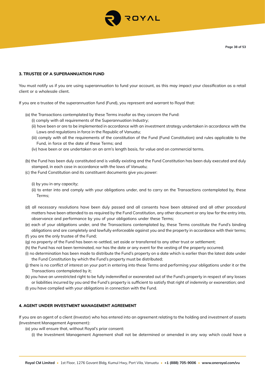

#### **3. TRUSTEE OF A SUPERANNUATION FUND**

You must notify us if you are using superannuation to fund your account, as this may impact your classification as a retail client or a wholesale client.

If you are a trustee of the superannuation fund (Fund), you represent and warrant to Royal that:

- (a) the Transactions contemplated by these Terms insofar as they concern the Fund:
	- (i) comply with all requirements of the Superannuation Industry;
	- (ii) have been or are to be implemented in accordance with an investment strategy undertaken in accordance with the Laws and regulations in force in the Republic of Vanuatu;
	- (iii) comply with all the requirements of the constitution of the Fund (Fund Constitution) and rules applicable to the Fund, in force at the date of these Terms; and
	- (iv) have been or are undertaken on an arm's length basis, for value and on commercial terms.
- (b) the Fund has been duly constituted and is validly existing and the Fund Constitution has been duly executed and duly stamped, in each case in accordance with the laws of Vanuatu;
- (c) the Fund Constitution and its constituent documents give you power:
	- (i) by you in any capacity;
	- (ii) to enter into and comply with your obligations under, and to carry on the Transactions contemplated by, these Terms;
- (d) all necessary resolutions have been duly passed and all consents have been obtained and all other procedural matters have been attended to as required by the Fund Constitution, any other document or any law for the entry into, observance and performance by you of your obligations under these Terms;
- (e) each of your obligations under, and the Transactions contemplated by, these Terms constitute the Fund's binding obligations and are completely and lawfully enforceable against you and the property in accordance with their terms;
- (f) you are the only trustee of the Fund;
- (g) no property of the Fund has been re-settled, set aside or transferred to any other trust or settlement;
- (h) the Fund has not been terminated, nor has the date or any event for the vesting of the property occurred;
- (i) no determination has been made to distribute the Fund's property on a date which is earlier than the latest date under the Fund Constitution by which the Fund's property must be distributed;
- (j) there is no conflict of interest on your part in entering into these Terms and performing your obligations under it or the Transactions contemplated by it;
- (k) you have an unrestricted right to be fully indemnified or exonerated out of the Fund's property in respect of any losses or liabilities incurred by you and the Fund's property is sufficient to satisfy that right of indemnity or exoneration; and
- (l) you have complied with your obligations in connection with the Fund.

#### **4. AGENT UNDER INVESTMENT MANAGEMENT AGREEMENT**

If you are an agent of a client (Investor) who has entered into an agreement relating to the holding and investment of assets (Investment Management Agreement):

- (a) you will ensure that, without Royal's prior consent:
	- (i) the Investment Management Agreement shall not be determined or amended in any way which could have a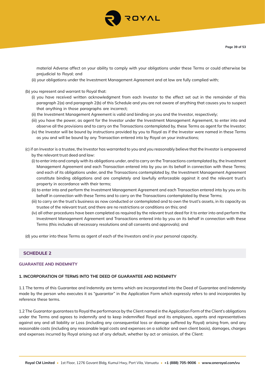

material Adverse affect on your ability to comply with your obligations under these Terms or could otherwise be prejudicial to Royal; and

- (ii) your obligations under the Investment Management Agreement and at law are fully complied with;
- (b) you represent and warrant to Royal that:
	- (i) you have received written acknowledgment from each Investor to the effect set out in the remainder of this paragraph 2(a) and paragraph 2(b) of this Schedule and you are not aware of anything that causes you to suspect that anything in those paragraphs are incorrect;
	- (ii) the Investment Management Agreement is valid and binding on you and the Investor, respectively;
	- (iii) you have the power, as agent for the Investor under the Investment Management Agreement, to enter into and observe all the provisions and to carry on the Transactions contemplated by, these Terms as agent for the Investor;
	- (iv) the Investor will be bound by instructions provided by you to Royal as if the Investor were named in these Terms as you and will be bound by any Transaction entered into by Royal on your instructions;
- (c) if an Investor is a trustee, the Investor has warranted to you and you reasonably believe that the Investor is empowered by the relevant trust deed and law:
	- (i) to enter into and comply with its obligations under, and to carry on the Transactions contemplated by, the Investment Management Agreement and each Transaction entered into by you on its behalf in connection with these Terms; and each of its obligations under, and the Transactions contemplated by, the Investment Management Agreement constitute binding obligations and are completely and lawfully enforceable against it and the relevant trust's property in accordance with their terms;
	- (ii) to enter into and perform the Investment Management Agreement and each Transaction entered into by you on its behalf in connection with these Terms and to carry on the Transactions contemplated by these Terms;
	- (iii) to carry on the trust's business as now conducted or contemplated and to own the trust's assets, in its capacity as trustee of the relevant trust; and there are no restrictions or conditions on this; and
	- (iv) all other procedures have been completed as required by the relevant trust deed for it to enter into and perform the Investment Management Agreement and Transactions entered into by you on its behalf in connection with these Terms (this includes all necessary resolutions and all consents and approvals); and
- (d) you enter into these Terms as agent of each of the Investors and in your personal capacity.

# **SCHEDULE 2**

#### **GUARANTEE AND INDEMNITY**

#### **1. INCORPORATION OF TERMS INTO THE DEED OF GUARANTEE AND INDEMNITY**

1.1 The terms of this Guarantee and Indemnity are terms which are incorporated into the Deed of Guarantee and Indemnity made by the person who executes it as "guarantor" in the Application Form which expressly refers to and incorporates by reference these terms.

1.2 The Guarantor guarantees to Royal the performance by the Client named in the Application Form of the Client's obligations under the Terms and agrees to indemnify and to keep indemnified Royal and its employees, agents and representatives against any and all liability or Loss (including any consequential loss or damage suffered by Royal) arising from, and any reasonable costs (including any reasonable legal costs and expenses on a solicitor and own client basis), damages, charges and expenses incurred by Royal arising out of any default, whether by act or omission, of the Client: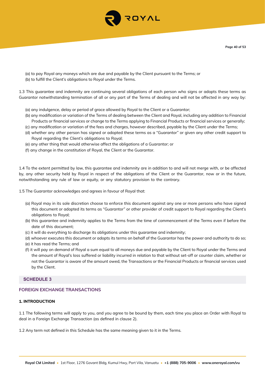

- (a) to pay Royal any moneys which are due and payable by the Client pursuant to the Terms; or
- (b) to fulfill the Client's obligations to Royal under the Terms.

1.3 This guarantee and indemnity are continuing several obligations of each person who signs or adopts these terms as Guarantor notwithstanding termination of all or any part of the Terms of dealing and will not be affected in any way by:

- (a) any indulgence, delay or period of grace allowed by Royal to the Client or a Guarantor;
- (b) any modification or variation of the Terms of dealing between the Client and Royal, including any addition to Financial Products or financial services or change to the Terms applying to Financial Products or financial services or generally;
- (c) any modification or variation of the fees and charges, however described, payable by the Client under the Terms;
- (d) whether any other person has signed or adopted these terms as a "Guarantor" or given any other credit support to Royal regarding the Client's obligations to Royal;
- (e) any other thing that would otherwise affect the obligations of a Guarantor; or
- (f) any change in the constitution of Royal, the Client or the Guarantor.

1.4 To the extent permitted by law, this guarantee and indemnity are in addition to and will not merge with, or be affected by, any other security held by Royal in respect of the obligations of the Client or the Guarantor, now or in the future, notwithstanding any rule of law or equity, or any statutory provision to the contrary.

1.5 The Guarantor acknowledges and agrees in favour of Royal that:

- (a) Royal may in its sole discretion choose to enforce this document against any one or more persons who have signed this document or adopted its terms as "Guarantor" or other provider of credit support to Royal regarding the Client's obligations to Royal;
- (b) this guarantee and indemnity applies to the Terms from the time of commencement of the Terms even if before the date of this document;
- (c) it will do everything to discharge its obligations under this guarantee and indemnity;
- (d) whoever executes this document or adopts its terms on behalf of the Guarantor has the power and authority to do so;
- (e) it has read the Terms; and
- (f) it will pay on demand of Royal a sum equal to all moneys due and payable by the Client to Royal under the Terms and the amount of Royal's loss suffered or liability incurred in relation to that without set-off or counter claim, whether or not the Guarantor is aware of the amount owed, the Transactions or the Financial Products or financial services used by the Client.

## **SCHEDULE 3**

# **FOREIGN EXCHANGE TRANSACTIONS**

#### **1. INTRODUCTION**

1.1 The following terms will apply to you, and you agree to be bound by them, each time you place an Order with Royal to deal in a Foreign Exchange Transaction (as defined in clause 2).

1.2 Any term not defined in this Schedule has the same meaning given to it in the Terms.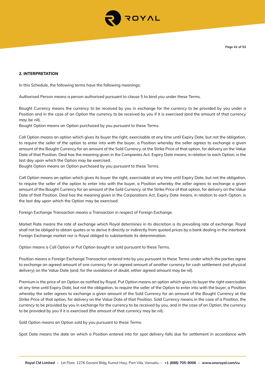

#### **2. INTERPRETATION**

In this Schedule, the following terms have the following meanings:

Authorised Person means a person authorised pursuant to clause 5 to bind you under these Terms.

Bought Currency means the currency to be received by you in exchange for the currency to be provided by you under a Position and in the case of an Option the currency to be received by you if it is exercised (and the amount of that currency may be nil).

Bought Option means an Option purchased by you pursuant to these Terms.

Call Option means an option which gives its buyer the right, exercisable at any time until Expiry Date, but not the obligation, to require the seller of the option to enter into with the buyer, a Position whereby the seller agrees to exchange a given amount of the Bought Currency for an amount of the Sold Currency, at the Strike Price of that option, for delivery on the Value Date of that Position. Deal has the meaning given in the Companies Act. Expiry Date means, in relation to each Option, is the last day upon which the Option may be exercised.

Bought Option means an Option purchased by you pursuant to these Terms.

Call Option means an option which gives its buyer the right, exercisable at any time until Expiry Date, but not the obligation, to require the seller of the option to enter into with the buyer, a Position whereby the seller agrees to exchange a given amount of the Bought Currency for an amount of the Sold Currency, at the Strike Price of that option, for delivery on the Value Date of that Position. Deal has the meaning given in the Corporations Act. Expiry Date means, in relation to each Option, is the last day upon which the Option may be exercised.

Foreign Exchange Transaction means a Transaction in respect of Foreign Exchange.

Market Rate means the rate of exchange which Royal determines in its discretion is its prevailing rate of exchange. Royal shall not be obliged to obtain quotes or to derive it directly or indirectly from quoted prices by a bank dealing in the interbank Foreign Exchange market nor is Royal obliged to substantiate its determination.

Option means a Call Option or Put Option bought or sold pursuant to these Terms.

Position means a Foreign Exchange Transaction entered into by you pursuant to these Terms under which the parties agree to exchange an agreed amount of one currency for an agreed amount of another currency for cash settlement (not physical delivery) on the Value Date (and, for the avoidance of doubt, either agreed amount may be nil).

Premium is the price of an Option as notified by Royal. Put Option means an option which gives its buyer the right exercisable at any time until Expiry Date, but not the obligation, to require the seller of the Option to enter into with the buyer, a Position whereby the seller agrees to exchange a given amount of the Sold Currency for an amount of the Bought Currency at the Strike Price of that option, for delivery on the Value Date of that Position. Sold Currency means in the case of a Position, the currency to be provided by you in exchange for the currency to be received by you, and in the case of an Option, the currency to be provided by you if it is exercised (the amount of that currency may be nil).

Sold Option means an Option sold by you pursuant to these Terms.

Spot Date means the date on which a Position entered into for spot delivery falls due for settlement in accordance with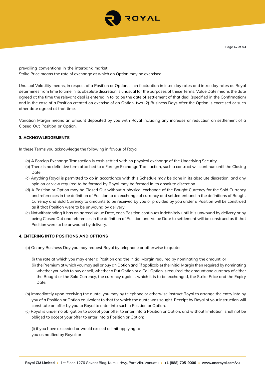

prevailing conventions in the interbank market. Strike Price means the rate of exchange at which an Option may be exercised.

Unusual Volatility means, in respect of a Position or Option, such fluctuation in inter-day rates and intra-day rates as Royal determines from time to time in its absolute discretion is unusual for the purposes of these Terms. Value Date means the date agreed at the time the relevant deal is entered in to, to be the date of settlement of that deal (specified in the Confirmation) and in the case of a Position created on exercise of an Option, two (2) Business Days after the Option is exercised or such other date agreed at that time.

Variation Margin means an amount deposited by you with Royal including any increase or reduction on settlement of a Closed Out Position or Option.

## **3. ACKNOWLEDGEMENTS**

In these Terms you acknowledge the following in favour of Royal:

- (a) A Foreign Exchange Transaction is cash settled with no physical exchange of the Underlying Security.
- (b) There is no definitive term attached to a Foreign Exchange Transaction, such a contract will continue until the Closing Date.
- (c) Anything Royal is permitted to do in accordance with this Schedule may be done in its absolute discretion, and any opinion or view required to be formed by Royal may be formed in its absolute discretion.
- (d) A Position or Option may be Closed Out without a physical exchange of the Bought Currency for the Sold Currency and references in the definition of Position to an exchange of currency and settlement and in the definitions of Bought Currency and Sold Currency to amounts to be received by you or provided by you under a Position will be construed as if that Position were to be unwound by delivery.
- (e) Notwithstanding it has an agreed Value Date, each Position continues indefinitely until it is unwound by delivery or by being Closed Out and references in the definition of Position and Value Date to settlement will be construed as if that Position were to be unwound by delivery.

#### **4. ENTERING INTO POSITIONS AND OPTIONS**

- (a) On any Business Day you may request Royal by telephone or otherwise to quote:
	- (i) the rate at which you may enter a Position and the Initial Margin required by nominating the amount; or
	- (ii) the Premium at which you may sell or buy an Option and (if applicable) the Initial Margin then required by nominating whether you wish to buy or sell, whether a Put Option or a Call Option is required, the amount and currency of either the Bought or the Sold Currency, the currency against which it is to be exchanged, the Strike Price and the Expiry Date.
- (b) Immediately upon receiving the quote, you may by telephone or otherwise instruct Royal to arrange the entry into by you of a Position or Option equivalent to that for which the quote was sought. Receipt by Royal of your instruction will constitute an offer by you to Royal to enter into such a Position or Option.
- (c) Royal is under no obligation to accept your offer to enter into a Position or Option, and without limitation, shall not be obliged to accept your offer to enter into a Position or Option:

(i) if you have exceeded or would exceed a limit applying to you as notified by Royal; or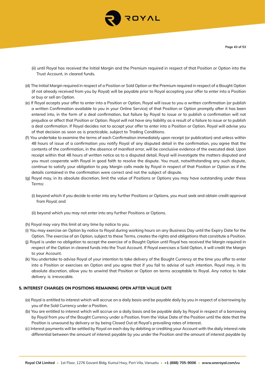

- (ii) until Royal has received the Initial Margin and the Premium required in respect of that Position or Option into the Trust Account, in cleared funds.
- (d) The Initial Margin required in respect of a Position or Sold Option or the Premium required in respect of a Bought Option (if not already received from you by Royal) will be payable prior to Royal accepting your offer to enter into a Position or buy or sell an Option.
- (e) If Royal accepts your offer to enter into a Position or Option, Royal will issue to you a written confirmation (or publish a written Confirmation available to you in your Online Service) of that Position or Option promptly after it has been entered into, in the form of a deal confirmation, but failure by Royal to issue or to publish a confirmation will not prejudice or affect that Position or Option. Royal will not have any liability as a result of a failure to issue or to publish a deal confirmation. If Royal decides not to accept your offer to enter into a Position or Option, Royal will advise you of that decision as soon as is practicable, subject to Trading Conditions.
- (f) You undertake to examine the terms of each Confirmation immediately upon receipt (or publication) and unless within 48 hours of issue of a confirmation you notify Royal of any disputed detail in the confirmation, you agree that the contents of the confirmation, in the absence of manifest error, will be conclusive evidence of the executed deal. Upon receipt within that 48 hours of written notice as to a disputed detail, Royal will investigate the matters disputed and you must cooperate with Royal in good faith to resolve the dispute. You must, notwithstanding any such dispute, continue to satisfy your obligation to pay Margin calls made by Royal in respect of that Position or Option as if the details contained in the confirmation were correct and not the subject of dispute.
- (g) Royal may, in its absolute discretion, limit the value of Positions or Options you may have outstanding under these Terms:
	- (i) beyond which if you decide to enter into any further Positions or Options, you must seek and obtain credit approval from Royal; and
	- (ii) beyond which you may not enter into any further Positions or Options.
- (h) Royal may vary this limit at any time by notice to you.
- (i) You may exercise an Option by notice to Royal during working hours on any Business Day until the Expiry Date for the Option. The exercise of an Option, subject to these Terms, creates the rights and obligations that constitute a Position.
- (j) Royal is under no obligation to accept the exercise of a Bought Option until Royal has received the Margin required in respect of the Option in cleared funds into the Trust Account. If Royal exercises a Sold Option, it will credit the Margin to your Account.
- (k) You undertake to advise Royal of your intention to take delivery of the Bought Currency at the time you offer to enter into a Position or exercises an Option and you agree that if you fail to advise of such intention, Royal may, in its absolute discretion, allow you to unwind that Position or Option on terms acceptable to Royal. Any notice to take delivery is irrevocable.

#### **5. INTEREST CHARGES ON POSITIONS REMAINING OPEN AFTER VALUE DATE**

- (a) Royal is entitled to interest which will accrue on a daily basis and be payable daily by you in respect of a borrowing by you of the Sold Currency under a Position.
- (b) You are entitled to interest which will accrue on a daily basis and be payable daily by Royal in respect of a borrowing by Royal from you of the Bought Currency under a Position, from the Value Date of the Position until the date that the Position is unwound by delivery or by being Closed Out at Royal's prevailing rates of interest.
- (c) Interest payments will be settled by Royal on each day by debiting or crediting your Account with the daily interest rate differential between the amount of interest payable by you under the Position and the amount of interest payable by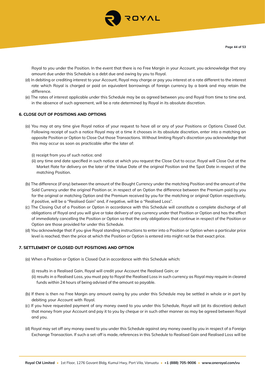

Royal to you under the Position. In the event that there is no Free Margin in your Account, you acknowledge that any amount due under this Schedule is a debt due and owing by you to Royal.

- (d) In debiting or crediting interest to your Account, Royal may charge or pay you interest at a rate different to the interest rate which Royal is charged or paid on equivalent borrowings of foreign currency by a bank and may retain the difference.
- (e) The rates of interest applicable under this Schedule may be as agreed between you and Royal from time to time and, in the absence of such agreement, will be a rate determined by Royal in its absolute discretion.

## **6. CLOSE OUT OF POSITIONS AND OPTIONS**

- (a) You may at any time give Royal notice of your request to have all or any of your Positions or Options Closed Out. Following receipt of such a notice Royal may at a time it chooses in its absolute discretion, enter into a matching an opposite Position or Option to Close Out those Transactions. Without limiting Royal's discretion you acknowledge that this may occur as soon as practicable after the later of:
	- (i) receipt from you of such notice; and
	- (ii) any time and date specified in such notice at which you request the Close Out to occur, Royal will Close Out at the Market Rate for delivery on the later of the Value Date of the original Position and the Spot Date in respect of the matching Position.
- (b) The difference (if any) between the amount of the Bought Currency under the matching Position and the amount of the Sold Currency under the original Position or, in respect of an Option the difference between the Premium paid by you for the original or matching Option and the Premium received by you for the matching or original Option respectively, if positive, will be a "Realised Gain" and, if negative, will be a "Realised Loss".
- (c) The Closing Out of a Position or Option in accordance with this Schedule will constitute a complete discharge of all obligations of Royal and you will give or take delivery of any currency under that Position or Option and has the effect of immediately cancelling the Position or Option so that the only obligations that continue in respect of the Position or Option are those provided for under this Schedule.
- (d) You acknowledge that if you give Royal standing instructions to enter into a Position or Option when a particular price level is reached, then the price at which the Position or Option is entered into might not be that exact price.

#### **7. SETTLEMENT OF CLOSED OUT POSITIONS AND OPTION**

- (a) When a Position or Option is Closed Out in accordance with this Schedule which:
	- (i) results in a Realised Gain, Royal will credit your Account the Realised Gain; or
	- (ii) results in a Realised Loss, you must pay to Royal the Realised Loss in such currency as Royal may require in cleared funds within 24 hours of being advised of the amount so payable.
- (b) If there is then no Free Margin any amount owing by you under this Schedule may be settled in whole or in part by debiting your Account with Royal.
- (c) If you have requested payment of any money owed to you under this Schedule, Royal will (at its discretion) deduct that money from your Account and pay it to you by cheque or in such other manner as may be agreed between Royal and you.
- (d) Royal may set off any money owed to you under this Schedule against any money owed by you in respect of a Foreign Exchange Transaction. If such a set-off is made, references in this Schedule to Realised Gain and Realised Loss will be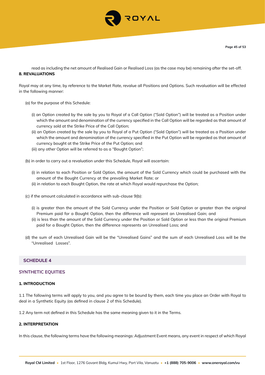

read as including the net amount of Realised Gain or Realised Loss (as the case may be) remaining after the set-off. **8. REVALUATIONS**

Royal may at any time, by reference to the Market Rate, revalue all Positions and Options. Such revaluation will be effected in the following manner:

- (a) for the purpose of this Schedule:
	- (i) an Option created by the sale by you to Royal of a Call Option ("Sold Option") will be treated as a Position under which the amount and denomination of the currency specified in the Call Option will be regarded as that amount of currency sold at the Strike Price of the Call Option;
	- (ii) an Option created by the sale by you to Royal of a Put Option ("Sold Option") will be treated as a Position under which the amount and denomination of the currency specified in the Put Option will be regarded as that amount of currency bought at the Strike Price of the Put Option; and
	- (iii) any other Option will be referred to as a "Bought Option";
- (b) in order to carry out a revaluation under this Schedule, Royal will ascertain:
	- (i) in relation to each Position or Sold Option, the amount of the Sold Currency which could be purchased with the amount of the Bought Currency at the prevailing Market Rate; or
	- (ii) in relation to each Bought Option, the rate at which Royal would repurchase the Option;
- (c) if the amount calculated in accordance with sub-clause 9(b):
	- (i) is greater than the amount of the Sold Currency under the Position or Sold Option or greater than the original Premium paid for a Bought Option, then the difference will represent an Unrealised Gain; and
	- (ii) is less than the amount of the Sold Currency under the Position or Sold Option or less than the original Premium paid for a Bought Option, then the difference represents an Unrealised Loss; and
- (d) the sum of each Unrealised Gain will be the "Unrealised Gains" and the sum of each Unrealised Loss will be the "Unrealised Losses".

# **SCHEDULE 4**

#### **SYNTHETIC EQUITIES**

#### **1. INTRODUCTION**

1.1 The following terms will apply to you, and you agree to be bound by them, each time you place an Order with Royal to deal in a Synthetic Equity (as defined in clause 2 of this Schedule).

1.2 Any term not defined in this Schedule has the same meaning given to it in the Terms.

## **2. INTERPRETATION**

In this clause, the following terms have the following meanings: Adjustment Event means, any event in respect of which Royal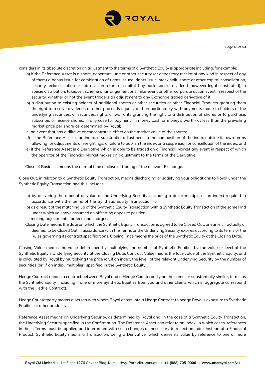

considers in its absolute discretion an adjustment to the terms of a Synthetic Equity is appropriate including, for example:

- (a) if the Reference Asset is a share, debenture, unit or other security (or depositary receipt of any kind in respect of any of them) a bonus issue for combination of rights issued, rights issue, stock split, share or other capital consolidation, security reclassification or sub-division return of capital, buy back, special dividend (however legal constituted), in specie distribution, takeover, scheme of arrangement or similar event or other corporate action event in respect of the security, whether or not the event triggers an adjustment to any Exchange traded derivative of it,
- (b) a distribution to existing holders of additional shares or other securities or other Financial Products granting them the right to receive dividends or other proceeds equally and proportionately with payments made to holders of the underlying securities; or securities, rights or warrants granting the right to a distribution of shares or to purchase, subscribe, or receive shares, in any case for payment (in money cash or money's worth) at less than the prevailing market price per share as determined by Royal;
- (c) an event that has a dilutive or concentrative effect on the market value of the shares;
- (d) if the Reference Asset is an index, a substantial adjustment to the composition of the index outside its own terms allowing for adjustments or weightings; a failure to publish the index or a suspension or cancellation of the index; and
- (e) if the Reference Asset is a Derivative which is able to be traded on a Financial Market any event in respect of which the operator of the Financial Market makes an adjustment to the terms of the Derivative.

Close of Business means the normal time of close of trading of the relevant Exchange.

Close Out, in relation to a Synthetic Equity Transaction, means discharging or satisfying your obligations to Royal under the Synthetic Equity Transaction and this includes:

- (a) by delivering the amount or value of the Underlying Security (including a dollar multiple of an index) required in accordance with the terms of the Synthetic Equity Transaction; or
- (b) as a result of the matching up of the Synthetic Equity Transaction with a Synthetic Equity Transaction of the same kind under which you have assumed an offsetting opposite position;
- (c) making adjustments for fees and charges.
- Closing Date means the date on which the Synthetic Equity Transaction is agreed to be Closed Out, or earlier, if actually or deemed to be Closed Out in accordance with the Terms or the Underlying Security expires according to its terms or the Rules governing its contract specifications. Closing Price means the price of the Synthetic Equity at the Closing Date.

Closing Value means the value determined by multiplying the number of Synthetic Equities by the value or level of the Synthetic Equity's Underlying Security at the Closing Date. Contract Value means the face value of the Synthetic Equity, and is calculated by Royal by multiplying the price (or, if an index, the level) of the relevant Underlying Security by the number of securities (or, if an index, multiplier) specified in the Synthetic Equity.

Hedge Contract means a contract between Royal and a Hedge Counterparty on the same, or substantially similar, terms as the Synthetic Equity (including if one or more Synthetic Equities from you and other clients which in aggregate correspond with the Hedge Contract).

Hedge Counterparty means a person with whom Royal enters into a Hedge Contract to hedge Royal's exposure to Synthetic Equities or other products.

Reference Asset means an Underlying Security, as determined by Royal and, in the case of a Synthetic Equity Transaction, the Underlying Security specified in the Confirmation. The Reference Asset can refer to an index, in which cases, references in these Terms must be applied and interpreted with such changes as necessary to reflect an index instead of a Financial Product. Synthetic Equity means a Transaction, being a Derivative, which derive its value by reference to one or more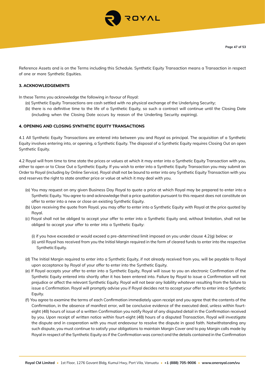

Reference Assets and is on the Terms including this Schedule. Synthetic Equity Transaction means a Transaction in respect of one or more Synthetic Equities.

#### **3. ACKNOWLEDGEMENTS**

In these Terms you acknowledge the following in favour of Royal:

- (a) Synthetic Equity Transactions are cash settled with no physical exchange of the Underlying Security;
- (b) there is no definitive time to the life of a Synthetic Equity, so such a contract will continue until the Closing Date (including when the Closing Date occurs by reason of the Underling Security expiring).

#### **4. OPENING AND CLOSING SYNTHETIC EQUITY TRANSACTIONS**

4.1 All Synthetic Equity Transactions are entered into between you and Royal as principal. The acquisition of a Synthetic Equity involves entering into, or opening, a Synthetic Equity. The disposal of a Synthetic Equity requires Closing Out an open Synthetic Equity.

4.2 Royal will from time to time state the prices or values at which it may enter into a Synthetic Equity Transaction with you, either to open or to Close Out a Synthetic Equity. If you wish to enter into a Synthetic Equity Transaction you may submit an Order to Royal (including by Online Service). Royal shall not be bound to enter into any Synthetic Equity Transaction with you and reserves the right to state another price or value at which it may deal with you.

- (a) You may request on any given Business Day Royal to quote a price at which Royal may be prepared to enter into a Synthetic Equity. You agree to and acknowledge that a price quotation pursuant to this request does not constitute an offer to enter into a new or close an existing Synthetic Equity.
- (b) Upon receiving the quote from Royal, you may offer to enter into a Synthetic Equity with Royal at the price quoted by Royal.
- (c) Royal shall not be obliged to accept your offer to enter into a Synthetic Equity and, without limitation, shall not be obliged to accept your offer to enter into a Synthetic Equity:

(i) if you have exceeded or would exceed a pre-determined limit imposed on you under clause 4.2(g) below; or

- (ii) until Royal has received from you the Initial Margin required in the form of cleared funds to enter into the respective Synthetic Equity.
- (d) The Initial Margin required to enter into a Synthetic Equity, if not already received from you, will be payable to Royal upon acceptance by Royal of your offer to enter into the Synthetic Equity.
- (e) If Royal accepts your offer to enter into a Synthetic Equity, Royal will issue to you an electronic Confirmation of the Synthetic Equity entered into shortly after it has been entered into. Failure by Royal to issue a Confirmation will not prejudice or affect the relevant Synthetic Equity. Royal will not bear any liability whatever resulting from the failure to issue a Confirmation. Royal will promptly advise you if Royal decides not to accept your offer to enter into a Synthetic Equity.
- (f) You agree to examine the terms of each Confirmation immediately upon receipt and you agree that the contents of the Confirmation, in the absence of manifest error, will be conclusive evidence of the executed deal, unless within fourteight (48) hours of issue of a written Confirmation you notify Royal of any disputed detail in the Confirmation received by you. Upon receipt of written notice within fourt-eight (48) hours of a disputed Transaction, Royal will investigate the dispute and in cooperation with you must endeavour to resolve the dispute in good faith. Notwithstanding any such dispute, you must continue to satisfy your obligations to maintain Margin Cover and to pay Margin calls made by Royal in respect of the Synthetic Equity as if the Confirmation was correct and the details contained in the Confirmation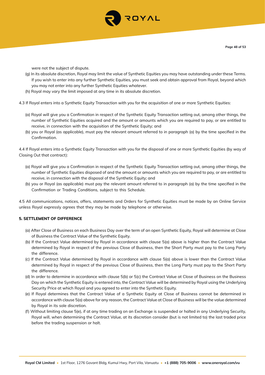

were not the subject of dispute.

- (g) In its absolute discretion, Royal may limit the value of Synthetic Equities you may have outstanding under these Terms. If you wish to enter into any further Synthetic Equities, you must seek and obtain approval from Royal, beyond which you may not enter into any further Synthetic Equities whatever.
- (h) Royal may vary the limit imposed at any time in its absolute discretion.

4.3 If Royal enters into a Synthetic Equity Transaction with you for the acquisition of one or more Synthetic Equities:

- (a) Royal will give you a Confirmation in respect of the Synthetic Equity Transaction setting out, among other things, the number of Synthetic Equities acquired and the amount or amounts which you are required to pay, or are entitled to receive, in connection with the acquisition of the Synthetic Equity; and
- (b) you or Royal (as applicable), must pay the relevant amount referred to in paragraph (a) by the time specified in the Confirmation.

4.4 If Royal enters into a Synthetic Equity Transaction with you for the disposal of one or more Synthetic Equities (by way of Closing Out that contract):

- (a) Royal will give you a Confirmation in respect of the Synthetic Equity Transaction setting out, among other things, the number of Synthetic Equities disposed of and the amount or amounts which you are required to pay, or are entitled to receive, in connection with the disposal of the Synthetic Equity; and
- (b) you or Royal (as applicable) must pay the relevant amount referred to in paragraph (a) by the time specified in the Confirmation or Trading Conditions, subject to this Schedule.

4.5 All communications, notices, offers, statements and Orders for Synthetic Equities must be made by an Online Service unless Royal expressly agrees that they may be made by telephone or otherwise.

#### **5. SETTLEMENT OF DIFFERENCE**

- (a) After Close of Business on each Business Day over the term of an open Synthetic Equity, Royal will determine at Close of Business the Contract Value of the Synthetic Equity.
- (b) If the Contract Value determined by Royal in accordance with clause 5(a) above is higher than the Contract Value determined by Royal in respect of the previous Close of Business, then the Short Party must pay to the Long Party the difference.
- (c) If the Contract Value determined by Royal in accordance with clause 5(a) above is lower than the Contract Value determined by Royal in respect of the previous Close of Business, then the Long Party must pay to the Short Party the difference.
- (d) In order to determine in accordance with clause 5(b) or 5(c) the Contract Value at Close of Business on the Business Day on which the Synthetic Equity is entered into, the Contract Value will be determined by Royal using the Underlying Security Price at which Royal and you agreed to enter into the Synthetic Equity.
- (e) If Royal determines that the Contract Value of a Synthetic Equity at Close of Business cannot be determined in accordance with clause 5(a) above for any reason, the Contract Value at Close of Business will be the value determined by Royal in its sole discretion.
- (f) Without limiting clause 5(e), if at any time trading on an Exchange is suspended or halted in any Underlying Security, Royal will, when determining the Contract Value, at its discretion consider (but is not limited to) the last traded price before the trading suspension or halt.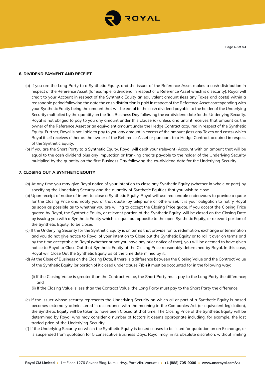

#### **6. DIVIDEND PAYMENT AND RECEIPT**

- (a) If you are the Long Party to a Synthetic Equity, and the issuer of the Reference Asset makes a cash distribution in respect of the Reference Asset (for example, a dividend in respect of a Reference Asset which is a security), Royal will credit to your Account in respect of the Synthetic Equity an equivalent amount (less any Taxes and costs) within a reasonable period following the date the cash distribution is paid in respect of the Reference Asset corresponding with your Synthetic Equity being the amount that will be equal to the cash dividend payable to the holder of the Underlying Security multiplied by the quantity on the first Business Day following the ex-dividend date for the Underlying Security. Royal is not obliged to pay to you any amount under this clause (a) unless and until it receives that amount as the owner of the Reference Asset or an equivalent amount under the Hedge Contract acquired in respect of the Synthetic Equity. Further, Royal is not liable to pay to you any amount in excess of the amount (less any Taxes and costs) which Royal itself receives either as the owner of the Reference Asset or pursuant to a Hedge Contract acquired in respect of the Synthetic Equity.
- (b) If you are the Short Party to a Synthetic Equity, Royal will debit your (relevant) Account with an amount that will be equal to the cash dividend plus any imputation or franking credits payable to the holder of the Underlying Security multiplied by the quantity on the first Business Day following the ex-dividend date for the Underlying Security.

#### **7. CLOSING OUT A SYNTHETIC EQUITY**

- (a) At any time you may give Royal notice of your intention to close any Synthetic Equity (whether in whole or part) by specifying the Underlying Security and the quantity of Synthetic Equities that you wish to close.
- (b) Upon receipt of notice of intent to close a Synthetic Equity, Royal will use reasonable endeavours to provide a quote for the Closing Price and notify you of that quote (by telephone or otherwise). It is your obligation to notify Royal as soon as possible as to whether you are willing to accept the Closing Price quote. If you accept the Closing Price quoted by Royal, the Synthetic Equity, or relevant portion of the Synthetic Equity, will be closed on the Closing Date by issuing you with a Synthetic Equity which is equal but opposite to the open Synthetic Equity, or relevant portion of the Synthetic Equity, to be closed.
- (c) If the Underlying Security for the Synthetic Equity is on terms that provide for its redemption, exchange or termination and you do not give notice to Royal of your intention to Close out the Synthetic Equity or to roll it over on terms and by the time acceptable to Royal (whether or not you have any prior notice of that), you will be deemed to have given notice to Royal to Close Out that Synthetic Equity at the Closing Price reasonably determined by Royal. In this case, Royal will Close Out the Synthetic Equity as at the time determined by it.
- (d) At the Close of Business on the Closing Date, if there is a difference between the Closing Value and the Contract Value of the Synthetic Equity (or portion of it closed under clause 7(b)) it must be accounted for in the following way:
	- (i) If the Closing Value is greater than the Contract Value, the Short Party must pay to the Long Party the difference; and
	- (ii) If the Closing Value is less than the Contract Value, the Long Party must pay to the Short Party the difference.
- (e) If the issuer whose security represents the Underlying Security on which all or part of a Synthetic Equity is based becomes externally administered in accordance with the meaning in the Companies Act (or equivalent legislation), the Synthetic Equity will be taken to have been Closed at that time. The Closing Price of the Synthetic Equity will be determined by Royal who may consider a number of factors it deems appropriate including, for example, the last traded price of the Underlying Security.
- (f) If the Underlying Security on which the Synthetic Equity is based ceases to be listed for quotation on an Exchange, or is suspended from quotation for 5 consecutive Business Days, Royal may, in its absolute discretion, without limiting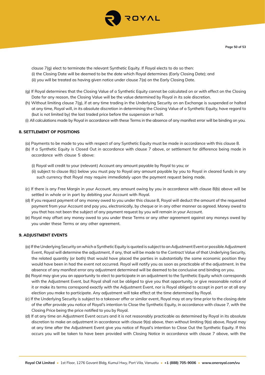

clause 7(g) elect to terminate the relevant Synthetic Equity. If Royal elects to do so then: (i) the Closing Date will be deemed to be the date which Royal determines (Early Closing Date); and (ii) you will be treated as having given notice under clause 7(a) on the Early Closing Date.

- (g) If Royal determines that the Closing Value of a Synthetic Equity cannot be calculated on or with effect on the Closing Date for any reason, the Closing Value will be the value determined by Royal in its sole discretion.
- (h) Without limiting clause 7(g), if at any time trading in the Underlying Security on an Exchange is suspended or halted at any time, Royal will, in its absolute discretion in determining the Closing Value of a Synthetic Equity, have regard to (but is not limited by) the last traded price before the suspension or halt.
- (i) All calculations made by Royal in accordance with these Terms in the absence of any manifest error will be binding on you.

#### **8. SETTLEMENT OF POSITIONS**

- (a) Payments to be made to you with respect of any Synthetic Equity must be made in accordance with this clause 8.
- (b) If a Synthetic Equity is Closed Out in accordance with clause 7 above, or settlement for difference being made in accordance with clause 5 above:
	- (i) Royal will credit to your (relevant) Account any amount payable by Royal to you; or
	- (ii) subject to clause 8(c) below you must pay to Royal any amount payable by you to Royal in cleared funds in any such currency that Royal may require immediately upon the payment request being made.
- (c) If there is any Free Margin in your Account, any amount owing by you in accordance with clause 8(b) above will be settled in whole or in part by debiting your Account with Royal.
- (d) If you request payment of any money owed to you under this clause 8, Royal will deduct the amount of the requested payment from your Account and pay you, electronically, by cheque or in any other manner as agreed. Money owed to you that has not been the subject of any payment request by you will remain in your Account.
- (e) Royal may offset any money owed to you under these Terms or any other agreement against any moneys owed by you under these Terms or any other agreement.

#### **9. ADJUSTMENT EVENTS**

- (a) If the Underlying Security on which a Synthetic Equity is quoted is subject to an Adjustment Event or possible Adjustment Event, Royal will determine the adjustment, if any, that will be made to the Contract Value of that Underlying Security, the related quantity (or both) that would have placed the parties in substantially the same economic position they would have been in had the event not occurred. Royal will notify you as soon as practicable of the adjustment. In the absence of any manifest error any adjustment determined will be deemed to be conclusive and binding on you.
- (b) Royal may give you an opportunity to elect to participate in an adjustment to the Synthetic Equity which corresponds with the Adjustment Event, but Royal shall not be obliged to give you that opportunity, or give reasonable notice of it or make its terms correspond exactly with the Adjustment Event, nor is Royal obliged to accept in part or at all any election you make to participate. Any adjustment will take effect at the time determined by Royal.
- (c) If the Underlying Security is subject to a takeover offer or similar event, Royal may at any time prior to the closing date of the offer provide you notice of Royal's intention to Close the Synthetic Equity, in accordance with clause 7, with the Closing Price being the price notified to you by Royal.
- (d) If at any time an Adjustment Event occurs and it is not reasonably practicable as determined by Royal in its absolute discretion to make an adjustment in accordance with clause 9(a) above, then without limiting 9(a) above, Royal may at any time after the Adjustment Event give you notice of Royal's intention to Close Out the Synthetic Equity. If this occurs you will be taken to have been provided with Closing Notice in accordance with clause 7 above, with the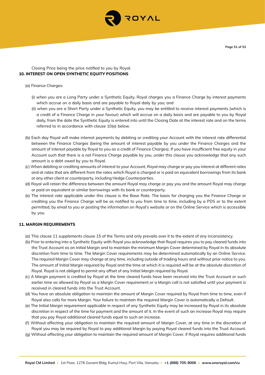

## Closing Price being the price notified to you by Royal. **10. INTEREST ON OPEN SYNTHETIC EQUITY POSITIONS**

#### (a) Finance Charges:

- (i) when you are a Long Party under a Synthetic Equity, Royal charges you a Finance Charge by interest payments which accrue on a daily basis and are payable to Royal daily by you; and
- (ii) when you are a Short Party under a Synthetic Equity, you may be entitled to receive interest payments (which is a credit of a Finance Charge in your favour) which will accrue on a daily basis and are payable to you by Royal daily, from the date the Synthetic Equity is entered into until the Closing Date at the interest rate and on the terms referred to in accordance with clause 10(e) below.
- (b) Each day Royal will make interest payments by debiting or crediting your Account with the interest rate differential between the Finance Charges (being the amount of interest payable by you under the Finance Charges and the amount of interest payable by Royal to you as a credit of Finance Charges). If you have insufficient free equity in your Account such that there is a net Finance Charge payable by you, under this clause you acknowledge that any such amount is a debt owed by you to Royal.
- (c) When debiting or crediting amounts of interest to your Account, Royal may charge or pay you interest at different rates and at rates that are different from the rates which Royal is charged or is paid on equivalent borrowings from its bank or any other client or counterparty, including Hedge Counterparties.
- (d) Royal will retain the difference between the amount Royal may charge or pay you and the amount Royal may charge or paid on equivalent or similar borrowings with its bank or counterparty.
- (e) The interest rate applicable under this clause is the Base Rate. The basis for charging you the Finance Charge or crediting you the Finance Charge will be as notified to you from time to time, including by a PDS or to the extent permitted, by email to you or posting the information on Royal's website or on the Online Service which is accessible by you.

## **11. MARGIN REQUIREMENTS**

- (a) This clause 11 supplements clause 15 of the Terms and only prevails over it to the extent of any inconsistency.
- (b) Prior to entering into a Synthetic Equity with Royal you acknowledge that Royal requires you to pay cleared funds into the Trust Account as an Initial Margin and to maintain the minimum Margin Cover determined by Royal in its absolute discretion from time to time. The Margin Cover requirements may be determined automatically by an Online Service. The required Margin Cover may change at any time, including outside of trading hours and without prior notice to you. The amount of Initial Margin required by Royal and the time at which it is required will be at the absolute discretion of Royal. Royal is not obliged to permit any offset of any Initial Margin required by Royal.
- (c) A Margin payment is credited by Royal at the time cleared funds have been received into the Trust Account or such earlier time as allowed by Royal so a Margin Cover requirement or a Margin call is not satisfied until your payment is received in cleared funds into the Trust Account.
- (d) You have an absolute obligation to maintain the amount of Margin Cover required by Royal from time to time, even if Royal also calls for more Margin. Your failure to maintain the required Margin Cover is automatically a Default.
- (e) The Initial Margin requirement applicable in respect of any Synthetic Equity may be increased by Royal in its absolute discretion in respect of the time for payment and the amount of it. In the event of such an increase Royal may require that you pay Royal additional cleared funds equal to such an increase.
- (f) Without affecting your obligation to maintain the required amount of Margin Cover, at any time in the discretion of Royal you may be required by Royal to pay additional Margin by paying Royal cleared funds into the Trust Account.
- (g) Without affecting your obligation to maintain the required amount of Margin Cover, if Royal requires additional funds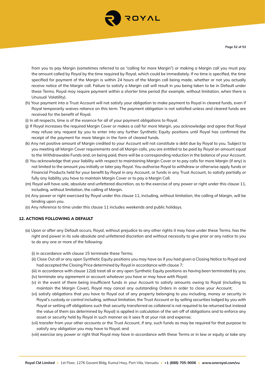

from you to pay Margin (sometimes referred to as "calling for more Margin") or making a Margin call you must pay the amount called by Royal by the time required by Royal, which could be immediately. If no time is specified, the time specified for payment of the Margin is within 24 hours of the Margin call being made, whether or not you actually receive notice of the Margin call. Failure to satisfy a Margin call will result in you being taken to be in Default under these Terms. Royal may require payment within a shorter time period (for example, without limitation, when there is Unusual Volatility).

- (h) Your payment into a Trust Account will not satisfy your obligation to make payment to Royal in cleared funds, even if Royal temporarily waives reliance on this term. The payment obligation is not satisfied unless and cleared funds are received for the benefit of Royal.
- (i) In all respects, time is of the essence for all of your payment obligations to Royal.
- (j) If Royal increases the required Margin Cover or makes a call for more Margin, you acknowledge and agree that Royal may refuse any request by you to enter into any further Synthetic Equity positions until Royal has confirmed the receipt of the payment for more Margin in the form of cleared funds.
- (k) Any net positive amount of Margin credited to your Account will not constitute a debt due by Royal to you. Subject to you meeting all Margin Cover requirements and all Margin calls, you are entitled to be paid by Royal an amount equal to the Withdrawable Funds and, on being paid, there will be a corresponding reduction in the balance of your Account.
- (l) You acknowledge that your liability with respect to maintaining Margin Cover or to pay calls for more Margin (if any) is not limited to the amount you initially or later pay Royal. You authorise Royal to withdraw or otherwise apply funds or Financial Products held for your benefit by Royal in any Account, or funds in any Trust Account, to satisfy partially or fully any liability you have to maintain Margin Cover or to pay a Margin Call.
- (m) Royal will have sole, absolute and unfettered discretion, as to the exercise of any power or right under this clause 11, including, without limitation, the calling of Margin.
- (n) Any power or right exercised by Royal under this clause 11, including, without limitation, the calling of Margin, will be binding upon you.
- (o) Any reference to time under this clause 11 includes weekends and public holidays.

#### **12. ACTIONS FOLLOWING A DEFAULT**

- (a) Upon or after any Default occurs, Royal, without prejudice to any other rights it may have under these Terms, has the right and power in its sole absolute and unfettered discretion and without necessity to give prior or any notice to you to do any one or more of the following:
	- (i) in accordance with clause 15 terminate these Terms;
	- (ii) Close Out all or any open Synthetic Equity positions you may have as if you had given a Closing Notice to Royal and had accepted the Closing Price determined by Royal in accordance with clause 7;
	- (iii) in accordance with clause 12(d) treat all or any open Synthetic Equity positions as having been terminated by you; (iv) terminate any agreement or account whatever you have or may have with Royal;
	-
	- (v) in the event of there being insufficient funds in your Account to satisfy amounts owing to Royal (including to maintain the Margin Cover), Royal may cancel any outstanding Orders in order to close your Account;
	- (vi) satisfy obligations that you have to Royal out of any property belonging to you including, money or security in Royal's custody or control including, without limitation, the Trust Account or by selling securities lodged by you with Royal or setting off obligations such that security transferred as collateral is not required to be returned but instead the value of them (as determined by Royal) is applied in calculation of the set-off of obligations and to enforce any asset or security held by Royal in such manner as it sees ft at your risk and expense;
	- (vii) transfer from your other accounts or the Trust Account, if any, such funds as may be required for that purpose to satisfy any obligation you may have to Royal; and
	- (viii) exercise any power or right that Royal may have in accordance with these Terms or in law or equity or take any